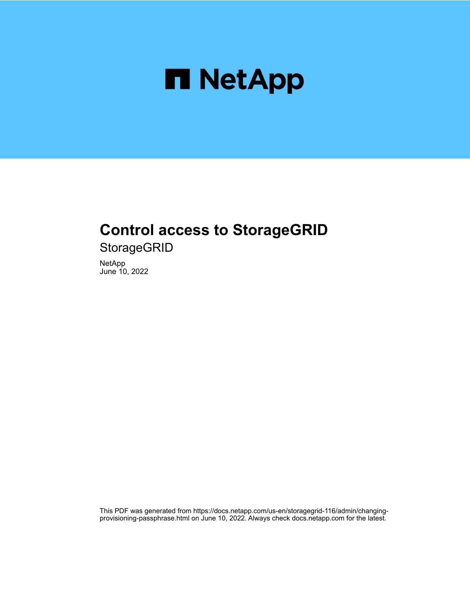

# **Control access to StorageGRID**

**StorageGRID** 

NetApp June 10, 2022

This PDF was generated from https://docs.netapp.com/us-en/storagegrid-116/admin/changingprovisioning-passphrase.html on June 10, 2022. Always check docs.netapp.com for the latest.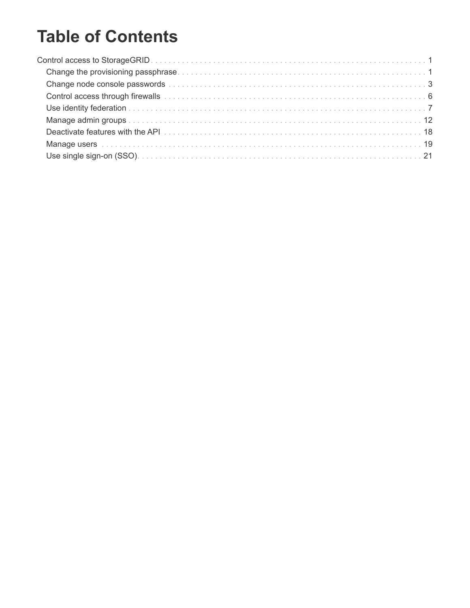# **Table of Contents**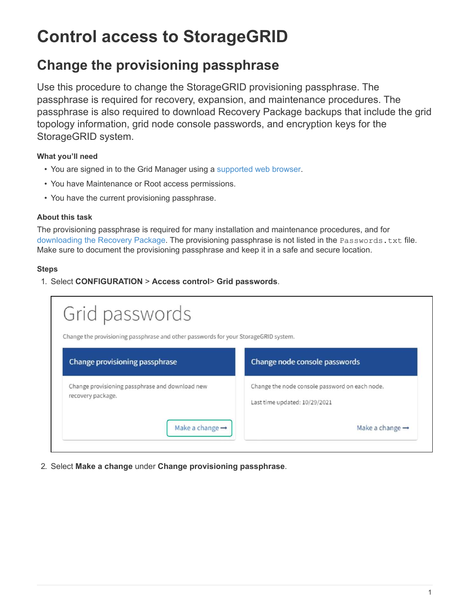# <span id="page-2-0"></span>**Control access to StorageGRID**

## <span id="page-2-1"></span>**Change the provisioning passphrase**

Use this procedure to change the StorageGRID provisioning passphrase. The passphrase is required for recovery, expansion, and maintenance procedures. The passphrase is also required to download Recovery Package backups that include the grid topology information, grid node console passwords, and encryption keys for the StorageGRID system.

#### **What you'll need**

- You are signed in to the Grid Manager using a [supported web browser.](https://docs.netapp.com/us-en/storagegrid-116/admin/web-browser-requirements.html)
- You have Maintenance or Root access permissions.
- You have the current provisioning passphrase.

#### **About this task**

The provisioning passphrase is required for many installation and maintenance procedures, and for [downloading the Recovery Package.](https://docs.netapp.com/us-en/storagegrid-116/maintain/downloading-recovery-package.html) The provisioning passphrase is not listed in the Passwords.txt file. Make sure to document the provisioning passphrase and keep it in a safe and secure location.

#### **Steps**

1. Select **CONFIGURATION** > **Access control**> **Grid passwords**.

| Grid passwords                                                                      |                                                                                 |
|-------------------------------------------------------------------------------------|---------------------------------------------------------------------------------|
| Change the provisioning passphrase and other passwords for your StorageGRID system. |                                                                                 |
| Change provisioning passphrase                                                      | Change node console passwords                                                   |
| Change provisioning passphrase and download new<br>recovery package.                | Change the node console password on each node.<br>Last time updated: 10/29/2021 |
| Make a change $\rightarrow$                                                         | Make a change $\rightarrow$                                                     |

2. Select **Make a change** under **Change provisioning passphrase**.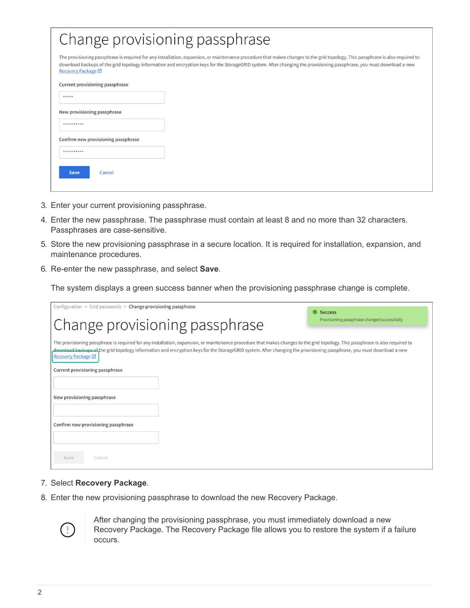| Change provisioning passphrase                                                                                                                                                                                                                                                                                                                                                       |  |  |
|--------------------------------------------------------------------------------------------------------------------------------------------------------------------------------------------------------------------------------------------------------------------------------------------------------------------------------------------------------------------------------------|--|--|
| The provisioning passphrase is required for any installation, expansion, or maintenance procedure that makes changes to the grid topology. This passphrase is also required to<br>download backups of the grid topology information and encryption keys for the StorageGRID system. After changing the provisioning passphrase, you must download a new<br><b>Recovery Package</b> ⊠ |  |  |
| Current provisioning passphrase                                                                                                                                                                                                                                                                                                                                                      |  |  |
| *****                                                                                                                                                                                                                                                                                                                                                                                |  |  |
| New provisioning passphrase                                                                                                                                                                                                                                                                                                                                                          |  |  |
| **********                                                                                                                                                                                                                                                                                                                                                                           |  |  |
| Confirm new provisioning passphrase                                                                                                                                                                                                                                                                                                                                                  |  |  |
| **********                                                                                                                                                                                                                                                                                                                                                                           |  |  |
| <b>Save</b><br>Cancel                                                                                                                                                                                                                                                                                                                                                                |  |  |

- 3. Enter your current provisioning passphrase.
- 4. Enter the new passphrase. The passphrase must contain at least 8 and no more than 32 characters. Passphrases are case-sensitive.
- 5. Store the new provisioning passphrase in a secure location. It is required for installation, expansion, and maintenance procedures.
- 6. Re-enter the new passphrase, and select **Save**.

The system displays a green success banner when the provisioning passphrase change is complete.

| Configuration > Grid passwords > Change provisioning passphrase                                                                                                                                                                                                                                                                                                                      | Success                                      |
|--------------------------------------------------------------------------------------------------------------------------------------------------------------------------------------------------------------------------------------------------------------------------------------------------------------------------------------------------------------------------------------|----------------------------------------------|
| Change provisioning passphrase                                                                                                                                                                                                                                                                                                                                                       | Provisioning passphrase changed successfully |
| The provisioning passphrase is required for any installation, expansion, or maintenance procedure that makes changes to the grid topology. This passphrase is also required to<br>download backups of the grid topology information and encryption keys for the StorageGRID system. After changing the provisioning passphrase, you must download a new<br><b>Recovery Package ■</b> |                                              |
| Current provisioning passphrase                                                                                                                                                                                                                                                                                                                                                      |                                              |
|                                                                                                                                                                                                                                                                                                                                                                                      |                                              |
| New provisioning passphrase                                                                                                                                                                                                                                                                                                                                                          |                                              |
|                                                                                                                                                                                                                                                                                                                                                                                      |                                              |
| Confirm new provisioning passphrase                                                                                                                                                                                                                                                                                                                                                  |                                              |
|                                                                                                                                                                                                                                                                                                                                                                                      |                                              |
| Cancel<br>Save                                                                                                                                                                                                                                                                                                                                                                       |                                              |

- 7. Select **Recovery Package**.
- 8. Enter the new provisioning passphrase to download the new Recovery Package.



After changing the provisioning passphrase, you must immediately download a new Recovery Package. The Recovery Package file allows you to restore the system if a failure occurs.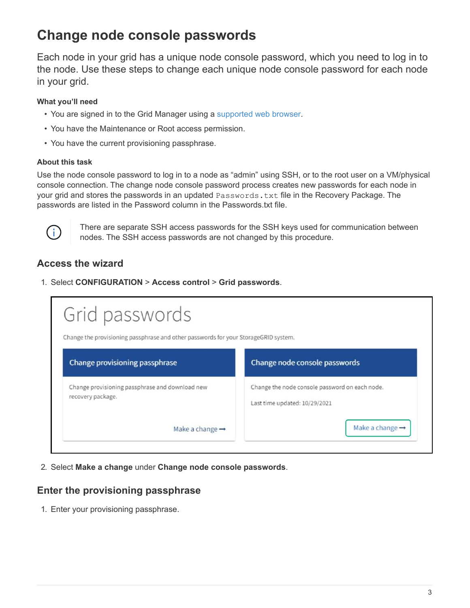## <span id="page-4-0"></span>**Change node console passwords**

Each node in your grid has a unique node console password, which you need to log in to the node. Use these steps to change each unique node console password for each node in your grid.

#### **What you'll need**

- You are signed in to the Grid Manager using a [supported web browser.](https://docs.netapp.com/us-en/storagegrid-116/admin/web-browser-requirements.html)
- You have the Maintenance or Root access permission.
- You have the current provisioning passphrase.

#### **About this task**

Use the node console password to log in to a node as "admin" using SSH, or to the root user on a VM/physical console connection. The change node console password process creates new passwords for each node in your grid and stores the passwords in an updated Passwords.txt file in the Recovery Package. The passwords are listed in the Password column in the Passwords.txt file.



There are separate SSH access passwords for the SSH keys used for communication between nodes. The SSH access passwords are not changed by this procedure.

## **Access the wizard**

1. Select **CONFIGURATION** > **Access control** > **Grid passwords**.

| Grid passwords                                                                      |                                                                                 |
|-------------------------------------------------------------------------------------|---------------------------------------------------------------------------------|
| Change the provisioning passphrase and other passwords for your StorageGRID system. |                                                                                 |
| Change provisioning passphrase                                                      | Change node console passwords                                                   |
| Change provisioning passphrase and download new<br>recovery package.                | Change the node console password on each node.<br>Last time updated: 10/29/2021 |
| Make a change $\rightarrow$                                                         | Make a change $\rightarrow$                                                     |

2. Select **Make a change** under **Change node console passwords**.

## **Enter the provisioning passphrase**

1. Enter your provisioning passphrase.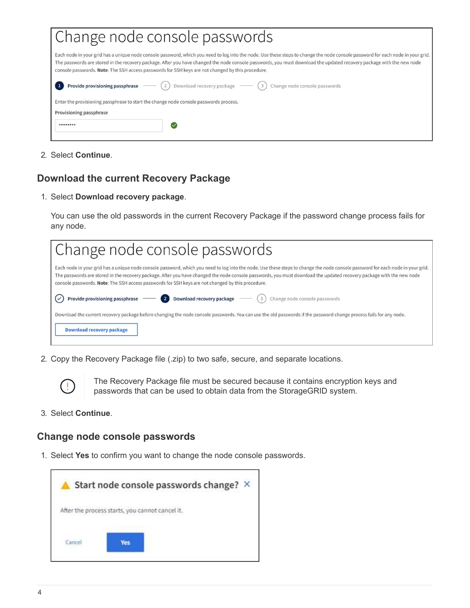| Change node console passwords                                                                                                                                                                                                                                                                                                                                                                                                                                 |  |  |  |
|---------------------------------------------------------------------------------------------------------------------------------------------------------------------------------------------------------------------------------------------------------------------------------------------------------------------------------------------------------------------------------------------------------------------------------------------------------------|--|--|--|
| Each node in your grid has a unique node console password, which you need to log into the node. Use these steps to change the node console password for each node in your grid.<br>The passwords are stored in the recovery package. After you have changed the node console passwords, you must download the updated recovery package with the new node<br>console passwords. Note: The SSH access passwords for SSH keys are not changed by this procedure. |  |  |  |
| Provide provisioning passphrase - (2) Download recovery package - (3) Change node console passwords                                                                                                                                                                                                                                                                                                                                                           |  |  |  |
| Enter the provisioning passphrase to start the change node console passwords process.                                                                                                                                                                                                                                                                                                                                                                         |  |  |  |
| Provisioning passphrase                                                                                                                                                                                                                                                                                                                                                                                                                                       |  |  |  |
| ********<br>∨                                                                                                                                                                                                                                                                                                                                                                                                                                                 |  |  |  |
|                                                                                                                                                                                                                                                                                                                                                                                                                                                               |  |  |  |

2. Select **Continue**.

## **Download the current Recovery Package**

1. Select **Download recovery package**.

You can use the old passwords in the current Recovery Package if the password change process fails for any node.

| Change node console passwords                                                                                                                                                                                                                                                                                                                                                                                                                                 |
|---------------------------------------------------------------------------------------------------------------------------------------------------------------------------------------------------------------------------------------------------------------------------------------------------------------------------------------------------------------------------------------------------------------------------------------------------------------|
| Each node in your grid has a unique node console password, which you need to log into the node. Use these steps to change the node console password for each node in your grid.<br>The passwords are stored in the recovery package. After you have changed the node console passwords, you must download the updated recovery package with the new node<br>console passwords. Note: The SSH access passwords for SSH keys are not changed by this procedure. |
| Provide provisioning passphrase $\sim$ (2) Download recovery package $\sim$ (3)<br>Change node console passwords                                                                                                                                                                                                                                                                                                                                              |
| Download the current recovery package before changing the node console passwords. You can use the old passwords if the password change process fails for any node.<br><b>Download recovery package</b>                                                                                                                                                                                                                                                        |

2. Copy the Recovery Package file (.zip) to two safe, secure, and separate locations.



The Recovery Package file must be secured because it contains encryption keys and passwords that can be used to obtain data from the StorageGRID system.

3. Select **Continue**.

## **Change node console passwords**

1. Select **Yes** to confirm you want to change the node console passwords.

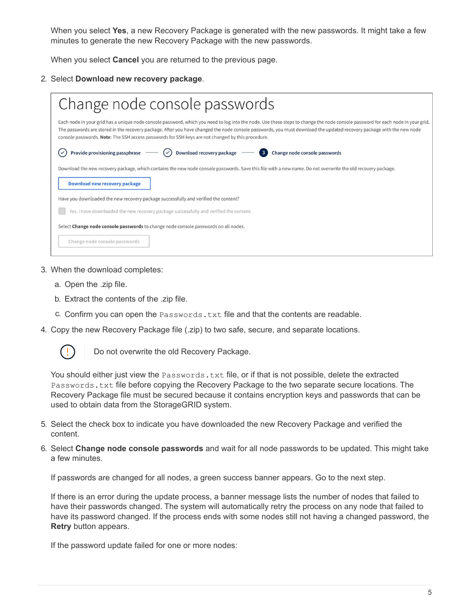When you select **Yes**, a new Recovery Package is generated with the new passwords. It might take a few minutes to generate the new Recovery Package with the new passwords.

When you select **Cancel** you are returned to the previous page.

#### 2. Select **Download new recovery package**.

| Change node console passwords                                                                                                                                                                                                                                                                                                                                                                                                                                 |  |  |  |  |
|---------------------------------------------------------------------------------------------------------------------------------------------------------------------------------------------------------------------------------------------------------------------------------------------------------------------------------------------------------------------------------------------------------------------------------------------------------------|--|--|--|--|
| Each node in your grid has a unique node console password, which you need to log into the node. Use these steps to change the node console password for each node in your grid.<br>The passwords are stored in the recovery package. After you have changed the node console passwords, you must download the updated recovery package with the new node<br>console passwords. Note: The SSH access passwords for SSH keys are not changed by this procedure. |  |  |  |  |
| Provide provisioning passphrase $\sim$ $\heartsuit$ Download recovery package $\sim$ 3 Change node console passwords                                                                                                                                                                                                                                                                                                                                          |  |  |  |  |
| Download the new recovery package, which contains the new node console passwords. Save this file with a new name. Do not overwrite the old recovery package.<br>Download new recovery package                                                                                                                                                                                                                                                                 |  |  |  |  |
| Have you downloaded the new recovery package successfully and verified the content?                                                                                                                                                                                                                                                                                                                                                                           |  |  |  |  |
| Yes, I have downloaded the new recovery package successfully and verified the content.                                                                                                                                                                                                                                                                                                                                                                        |  |  |  |  |
| Select Change node console passwords to change node console passwords on all nodes.                                                                                                                                                                                                                                                                                                                                                                           |  |  |  |  |
| Change node console passwords                                                                                                                                                                                                                                                                                                                                                                                                                                 |  |  |  |  |

- 3. When the download completes:
	- a. Open the .zip file.
	- b. Extract the contents of the .zip file.
	- c. Confirm you can open the  $Passwords.txt$  file and that the contents are readable.
- 4. Copy the new Recovery Package file (.zip) to two safe, secure, and separate locations.



Do not overwrite the old Recovery Package.

You should either just view the Passwords.txt file, or if that is not possible, delete the extracted Passwords.txt file before copying the Recovery Package to the two separate secure locations. The Recovery Package file must be secured because it contains encryption keys and passwords that can be used to obtain data from the StorageGRID system.

- 5. Select the check box to indicate you have downloaded the new Recovery Package and verified the content.
- 6. Select **Change node console passwords** and wait for all node passwords to be updated. This might take a few minutes.

If passwords are changed for all nodes, a green success banner appears. Go to the next step.

If there is an error during the update process, a banner message lists the number of nodes that failed to have their passwords changed. The system will automatically retry the process on any node that failed to have its password changed. If the process ends with some nodes still not having a changed password, the **Retry** button appears.

If the password update failed for one or more nodes: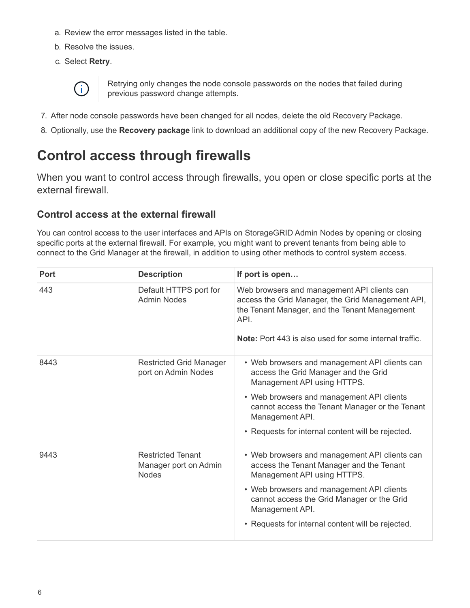- a. Review the error messages listed in the table.
- b. Resolve the issues.
- c. Select **Retry**.



Retrying only changes the node console passwords on the nodes that failed during previous password change attempts.

- 7. After node console passwords have been changed for all nodes, delete the old Recovery Package.
- 8. Optionally, use the **Recovery package** link to download an additional copy of the new Recovery Package.

## <span id="page-7-0"></span>**Control access through firewalls**

When you want to control access through firewalls, you open or close specific ports at the external firewall.

## **Control access at the external firewall**

You can control access to the user interfaces and APIs on StorageGRID Admin Nodes by opening or closing specific ports at the external firewall. For example, you might want to prevent tenants from being able to connect to the Grid Manager at the firewall, in addition to using other methods to control system access.

| <b>Port</b> | <b>Description</b>                                                | If port is open                                                                                                                                                                                                                                                                             |
|-------------|-------------------------------------------------------------------|---------------------------------------------------------------------------------------------------------------------------------------------------------------------------------------------------------------------------------------------------------------------------------------------|
| 443         | Default HTTPS port for<br><b>Admin Nodes</b>                      | Web browsers and management API clients can<br>access the Grid Manager, the Grid Management API,<br>the Tenant Manager, and the Tenant Management<br>API.<br><b>Note:</b> Port 443 is also used for some internal traffic.                                                                  |
| 8443        | <b>Restricted Grid Manager</b><br>port on Admin Nodes             | • Web browsers and management API clients can<br>access the Grid Manager and the Grid<br>Management API using HTTPS.<br>• Web browsers and management API clients<br>cannot access the Tenant Manager or the Tenant<br>Management API.<br>• Requests for internal content will be rejected. |
| 9443        | <b>Restricted Tenant</b><br>Manager port on Admin<br><b>Nodes</b> | • Web browsers and management API clients can<br>access the Tenant Manager and the Tenant<br>Management API using HTTPS.<br>• Web browsers and management API clients<br>cannot access the Grid Manager or the Grid<br>Management API.<br>• Requests for internal content will be rejected. |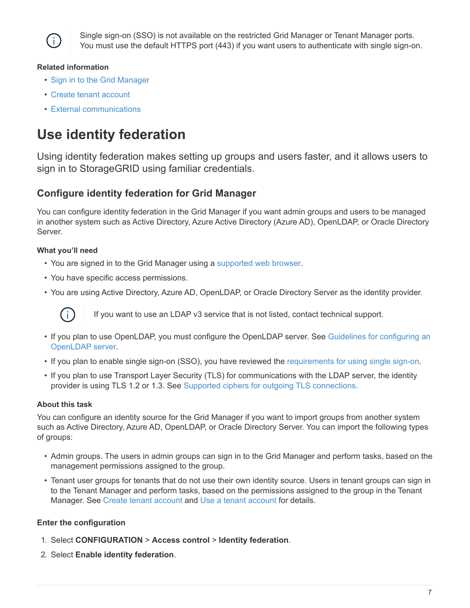

Single sign-on (SSO) is not available on the restricted Grid Manager or Tenant Manager ports. You must use the default HTTPS port (443) if you want users to authenticate with single sign-on.

#### **Related information**

- [Sign in to the Grid Manager](https://docs.netapp.com/us-en/storagegrid-116/admin/signing-in-to-grid-manager.html)
- [Create tenant account](https://docs.netapp.com/us-en/storagegrid-116/admin/creating-tenant-account.html)
- [External communications](https://docs.netapp.com/us-en/storagegrid-116/network/external-communications.html)

## <span id="page-8-0"></span>**Use identity federation**

Using identity federation makes setting up groups and users faster, and it allows users to sign in to StorageGRID using familiar credentials.

## **Configure identity federation for Grid Manager**

You can configure identity federation in the Grid Manager if you want admin groups and users to be managed in another system such as Active Directory, Azure Active Directory (Azure AD), OpenLDAP, or Oracle Directory **Server** 

#### **What you'll need**

- You are signed in to the Grid Manager using a [supported web browser.](https://docs.netapp.com/us-en/storagegrid-116/admin/web-browser-requirements.html)
- You have specific access permissions.
- You are using Active Directory, Azure AD, OpenLDAP, or Oracle Directory Server as the identity provider.



If you want to use an LDAP v3 service that is not listed, contact technical support.

- If you plan to use OpenLDAP, you must configure the OpenLDAP server. See [Guidelines for configuring an](#page-12-0) [OpenLDAP server](#page-12-0).
- If you plan to enable single sign-on (SSO), you have reviewed the [requirements for using single sign-on](#page-25-0).
- If you plan to use Transport Layer Security (TLS) for communications with the LDAP server, the identity provider is using TLS 1.2 or 1.3. See [Supported ciphers for outgoing TLS connections.](https://docs.netapp.com/us-en/storagegrid-116/admin/supported-ciphers-for-outgoing-tls-connections.html)

#### **About this task**

You can configure an identity source for the Grid Manager if you want to import groups from another system such as Active Directory, Azure AD, OpenLDAP, or Oracle Directory Server. You can import the following types of groups:

- Admin groups. The users in admin groups can sign in to the Grid Manager and perform tasks, based on the management permissions assigned to the group.
- Tenant user groups for tenants that do not use their own identity source. Users in tenant groups can sign in to the Tenant Manager and perform tasks, based on the permissions assigned to the group in the Tenant Manager. See [Create tenant account](https://docs.netapp.com/us-en/storagegrid-116/admin/creating-tenant-account.html) and [Use a tenant account](https://docs.netapp.com/us-en/storagegrid-116/tenant/index.html) for details.

#### **Enter the configuration**

- 1. Select **CONFIGURATION** > **Access control** > **Identity federation**.
- 2. Select **Enable identity federation**.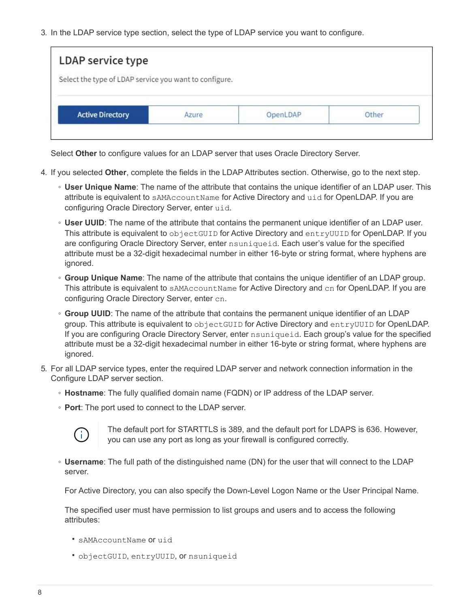3. In the LDAP service type section, select the type of LDAP service you want to configure.

| LDAP service type                                      |  |  |
|--------------------------------------------------------|--|--|
| Select the type of LDAP service you want to configure. |  |  |
|                                                        |  |  |
|                                                        |  |  |
| <b>Active Directory</b>                                |  |  |

Select **Other** to configure values for an LDAP server that uses Oracle Directory Server.

- 4. If you selected **Other**, complete the fields in the LDAP Attributes section. Otherwise, go to the next step.
	- **User Unique Name**: The name of the attribute that contains the unique identifier of an LDAP user. This attribute is equivalent to sAMAccountName for Active Directory and uid for OpenLDAP. If you are configuring Oracle Directory Server, enter uid.
	- **User UUID**: The name of the attribute that contains the permanent unique identifier of an LDAP user. This attribute is equivalent to objectGUID for Active Directory and entryUUID for OpenLDAP. If you are configuring Oracle Directory Server, enter nsuniqueid. Each user's value for the specified attribute must be a 32-digit hexadecimal number in either 16-byte or string format, where hyphens are ignored.
	- **Group Unique Name**: The name of the attribute that contains the unique identifier of an LDAP group. This attribute is equivalent to sAMAccountName for Active Directory and cn for OpenLDAP. If you are configuring Oracle Directory Server, enter cn.
	- **Group UUID**: The name of the attribute that contains the permanent unique identifier of an LDAP group. This attribute is equivalent to objectGUID for Active Directory and entryUUID for OpenLDAP. If you are configuring Oracle Directory Server, enter nsuniqueid. Each group's value for the specified attribute must be a 32-digit hexadecimal number in either 16-byte or string format, where hyphens are ignored.
- 5. For all LDAP service types, enter the required LDAP server and network connection information in the Configure LDAP server section.
	- **Hostname**: The fully qualified domain name (FQDN) or IP address of the LDAP server.
	- **Port**: The port used to connect to the LDAP server.



The default port for STARTTLS is 389, and the default port for LDAPS is 636. However, you can use any port as long as your firewall is configured correctly.

◦ **Username**: The full path of the distinguished name (DN) for the user that will connect to the LDAP server.

For Active Directory, you can also specify the Down-Level Logon Name or the User Principal Name.

The specified user must have permission to list groups and users and to access the following attributes:

- sAMAccountName or uid
- objectGUID, entryUUID, or nsuniqueid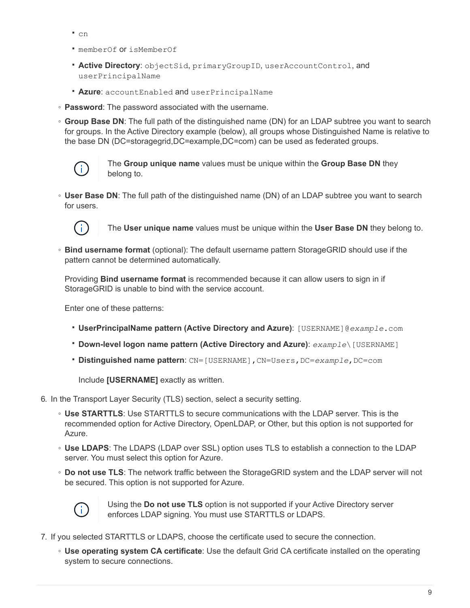- cn
- memberOf or isMemberOf
- **Active Directory**: objectSid, primaryGroupID, userAccountControl, and userPrincipalName
- **Azure**: accountEnabled and userPrincipalName
- **Password**: The password associated with the username.
- **Group Base DN**: The full path of the distinguished name (DN) for an LDAP subtree you want to search for groups. In the Active Directory example (below), all groups whose Distinguished Name is relative to the base DN (DC=storagegrid,DC=example,DC=com) can be used as federated groups.



The **Group unique name** values must be unique within the **Group Base DN** they belong to.

◦ **User Base DN**: The full path of the distinguished name (DN) of an LDAP subtree you want to search for users.



The **User unique name** values must be unique within the **User Base DN** they belong to.

◦ **Bind username format** (optional): The default username pattern StorageGRID should use if the pattern cannot be determined automatically.

Providing **Bind username format** is recommended because it can allow users to sign in if StorageGRID is unable to bind with the service account.

Enter one of these patterns:

- **UserPrincipalName pattern (Active Directory and Azure)**: [USERNAME]@*example*.com
- **Down-level logon name pattern (Active Directory and Azure)**: *example*\[USERNAME]
- **Distinguished name pattern**: CN=[USERNAME],CN=Users,DC=*example*,DC=com

Include **[USERNAME]** exactly as written.

- 6. In the Transport Layer Security (TLS) section, select a security setting.
	- **Use STARTTLS**: Use STARTTLS to secure communications with the LDAP server. This is the recommended option for Active Directory, OpenLDAP, or Other, but this option is not supported for Azure.
	- **Use LDAPS**: The LDAPS (LDAP over SSL) option uses TLS to establish a connection to the LDAP server. You must select this option for Azure.
	- **Do not use TLS**: The network traffic between the StorageGRID system and the LDAP server will not be secured. This option is not supported for Azure.



Using the **Do not use TLS** option is not supported if your Active Directory server enforces LDAP signing. You must use STARTTLS or LDAPS.

- 7. If you selected STARTTLS or LDAPS, choose the certificate used to secure the connection.
	- **Use operating system CA certificate**: Use the default Grid CA certificate installed on the operating system to secure connections.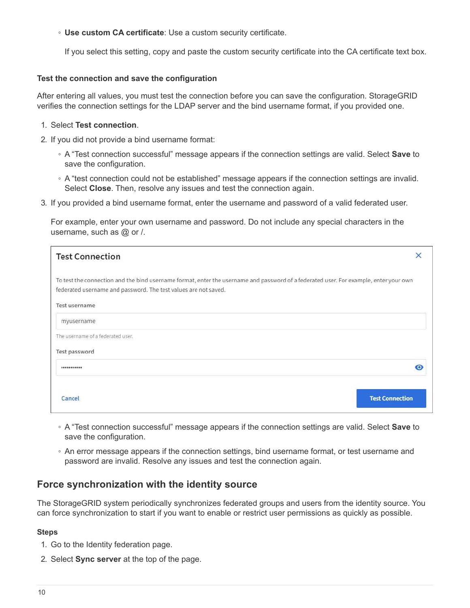◦ **Use custom CA certificate**: Use a custom security certificate.

If you select this setting, copy and paste the custom security certificate into the CA certificate text box.

#### **Test the connection and save the configuration**

After entering all values, you must test the connection before you can save the configuration. StorageGRID verifies the connection settings for the LDAP server and the bind username format, if you provided one.

#### 1. Select **Test connection**.

- 2. If you did not provide a bind username format:
	- A "Test connection successful" message appears if the connection settings are valid. Select **Save** to save the configuration.
	- A "test connection could not be established" message appears if the connection settings are invalid. Select **Close**. Then, resolve any issues and test the connection again.
- 3. If you provided a bind username format, enter the username and password of a valid federated user.

For example, enter your own username and password. Do not include any special characters in the username, such as @ or /.

| <b>Test Connection</b>                                                                                                                                                                                   | ×                      |
|----------------------------------------------------------------------------------------------------------------------------------------------------------------------------------------------------------|------------------------|
| To test the connection and the bind username format, enter the username and password of a federated user. For example, enter your own<br>federated username and password. The test values are not saved. |                        |
| Test username                                                                                                                                                                                            |                        |
| myusername                                                                                                                                                                                               |                        |
| The username of a federated user.                                                                                                                                                                        |                        |
| Test password                                                                                                                                                                                            |                        |
| ***********                                                                                                                                                                                              | О                      |
| Cancel                                                                                                                                                                                                   | <b>Test Connection</b> |

- A "Test connection successful" message appears if the connection settings are valid. Select **Save** to save the configuration.
- An error message appears if the connection settings, bind username format, or test username and password are invalid. Resolve any issues and test the connection again.

## **Force synchronization with the identity source**

The StorageGRID system periodically synchronizes federated groups and users from the identity source. You can force synchronization to start if you want to enable or restrict user permissions as quickly as possible.

#### **Steps**

- 1. Go to the Identity federation page.
- 2. Select **Sync server** at the top of the page.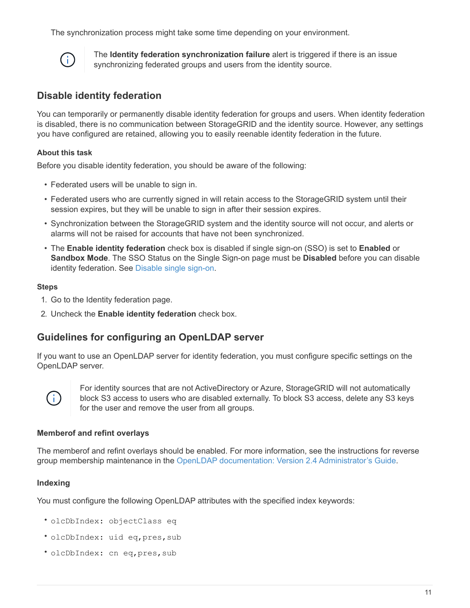The synchronization process might take some time depending on your environment.



The **Identity federation synchronization failure** alert is triggered if there is an issue synchronizing federated groups and users from the identity source.

## **Disable identity federation**

You can temporarily or permanently disable identity federation for groups and users. When identity federation is disabled, there is no communication between StorageGRID and the identity source. However, any settings you have configured are retained, allowing you to easily reenable identity federation in the future.

#### **About this task**

Before you disable identity federation, you should be aware of the following:

- Federated users will be unable to sign in.
- Federated users who are currently signed in will retain access to the StorageGRID system until their session expires, but they will be unable to sign in after their session expires.
- Synchronization between the StorageGRID system and the identity source will not occur, and alerts or alarms will not be raised for accounts that have not been synchronized.
- The **Enable identity federation** check box is disabled if single sign-on (SSO) is set to **Enabled** or **Sandbox Mode**. The SSO Status on the Single Sign-on page must be **Disabled** before you can disable identity federation. See [Disable single sign-on](#page-47-0).

#### **Steps**

- 1. Go to the Identity federation page.
- 2. Uncheck the **Enable identity federation** check box.

## <span id="page-12-0"></span>**Guidelines for configuring an OpenLDAP server**

If you want to use an OpenLDAP server for identity federation, you must configure specific settings on the OpenLDAP server.



For identity sources that are not ActiveDirectory or Azure, StorageGRID will not automatically block S3 access to users who are disabled externally. To block S3 access, delete any S3 keys for the user and remove the user from all groups.

#### **Memberof and refint overlays**

The memberof and refint overlays should be enabled. For more information, see the instructions for reverse group membership maintenance in the [OpenLDAP documentation: Version 2.4 Administrator's Guide](http://www.openldap.org/doc/admin24/index.html).

#### **Indexing**

You must configure the following OpenLDAP attributes with the specified index keywords:

- olcDbIndex: objectClass eq
- olcDbIndex: uid eq,pres,sub
- olcDbIndex: cn eq,pres,sub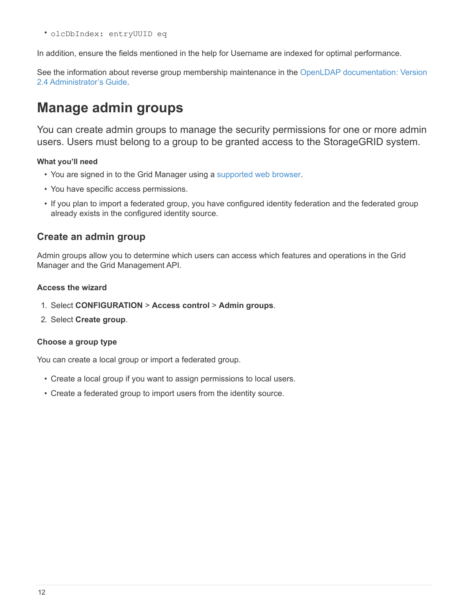• olcDbIndex: entryUUID eq

In addition, ensure the fields mentioned in the help for Username are indexed for optimal performance.

See the information about reverse group membership maintenance in the [OpenLDAP documentation: Version](http://www.openldap.org/doc/admin24/index.html) [2.4 Administrator's Guide.](http://www.openldap.org/doc/admin24/index.html)

## <span id="page-13-0"></span>**Manage admin groups**

You can create admin groups to manage the security permissions for one or more admin users. Users must belong to a group to be granted access to the StorageGRID system.

#### **What you'll need**

- You are signed in to the Grid Manager using a [supported web browser.](https://docs.netapp.com/us-en/storagegrid-116/admin/web-browser-requirements.html)
- You have specific access permissions.
- If you plan to import a federated group, you have configured identity federation and the federated group already exists in the configured identity source.

## **Create an admin group**

Admin groups allow you to determine which users can access which features and operations in the Grid Manager and the Grid Management API.

#### **Access the wizard**

- 1. Select **CONFIGURATION** > **Access control** > **Admin groups**.
- 2. Select **Create group**.

#### **Choose a group type**

You can create a local group or import a federated group.

- Create a local group if you want to assign permissions to local users.
- Create a federated group to import users from the identity source.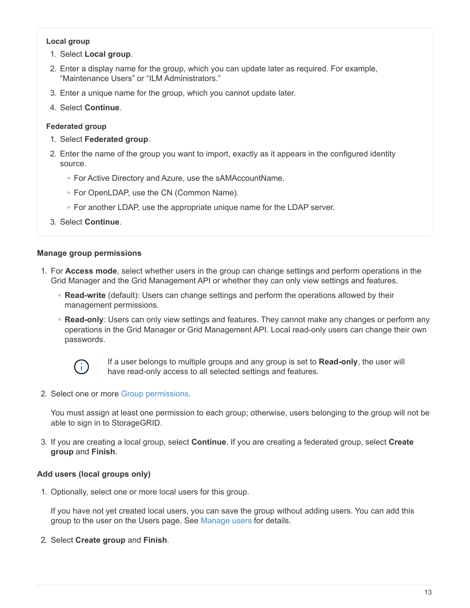#### **Local group**

- 1. Select **Local group**.
- 2. Enter a display name for the group, which you can update later as required. For example, "Maintenance Users" or "ILM Administrators."
- 3. Enter a unique name for the group, which you cannot update later.
- 4. Select **Continue**.

#### **Federated group**

- 1. Select **Federated group**.
- 2. Enter the name of the group you want to import, exactly as it appears in the configured identity source.
	- For Active Directory and Azure, use the sAMAccountName.
	- For OpenLDAP, use the CN (Common Name).
	- For another LDAP, use the appropriate unique name for the LDAP server.
- 3. Select **Continue**.

#### **Manage group permissions**

- 1. For **Access mode**, select whether users in the group can change settings and perform operations in the Grid Manager and the Grid Management API or whether they can only view settings and features.
	- **Read-write** (default): Users can change settings and perform the operations allowed by their management permissions.
	- **Read-only**: Users can only view settings and features. They cannot make any changes or perform any operations in the Grid Manager or Grid Management API. Local read-only users can change their own passwords.



If a user belongs to multiple groups and any group is set to **Read-only**, the user will have read-only access to all selected settings and features.

2. Select one or more [Group permissions.](#page-16-0)

You must assign at least one permission to each group; otherwise, users belonging to the group will not be able to sign in to StorageGRID.

3. If you are creating a local group, select **Continue**. If you are creating a federated group, select **Create group** and **Finish**.

#### **Add users (local groups only)**

1. Optionally, select one or more local users for this group.

If you have not yet created local users, you can save the group without adding users. You can add this group to the user on the Users page. See [Manage users](#page-20-0) for details.

2. Select **Create group** and **Finish**.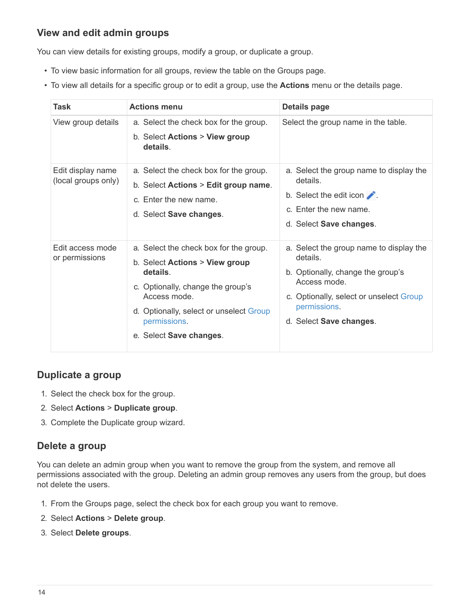## **View and edit admin groups**

You can view details for existing groups, modify a group, or duplicate a group.

- To view basic information for all groups, review the table on the Groups page.
- To view all details for a specific group or to edit a group, use the **Actions** menu or the details page.

| Task                                     | <b>Actions menu</b>                                                                                                                                                                                                             | <b>Details page</b>                                                                                                                                                                            |
|------------------------------------------|---------------------------------------------------------------------------------------------------------------------------------------------------------------------------------------------------------------------------------|------------------------------------------------------------------------------------------------------------------------------------------------------------------------------------------------|
| View group details                       | a. Select the check box for the group.<br>b. Select Actions > View group<br>details.                                                                                                                                            | Select the group name in the table.                                                                                                                                                            |
| Edit display name<br>(local groups only) | a. Select the check box for the group.<br>b. Select Actions > Edit group name.<br>c. Enter the new name.<br>d. Select Save changes.                                                                                             | a. Select the group name to display the<br>details.<br>b. Select the edit icon $\blacktriangleright$ .<br>c. Enter the new name.<br>d. Select Save changes.                                    |
| Edit access mode<br>or permissions       | a. Select the check box for the group.<br>b. Select Actions > View group<br>details.<br>c. Optionally, change the group's<br>Access mode.<br>d. Optionally, select or unselect Group<br>permissions.<br>e. Select Save changes. | a. Select the group name to display the<br>details.<br>b. Optionally, change the group's<br>Access mode.<br>c. Optionally, select or unselect Group<br>permissions.<br>d. Select Save changes. |

## **Duplicate a group**

- 1. Select the check box for the group.
- 2. Select **Actions** > **Duplicate group**.
- 3. Complete the Duplicate group wizard.

## **Delete a group**

You can delete an admin group when you want to remove the group from the system, and remove all permissions associated with the group. Deleting an admin group removes any users from the group, but does not delete the users.

- 1. From the Groups page, select the check box for each group you want to remove.
- 2. Select **Actions** > **Delete group**.
- 3. Select **Delete groups**.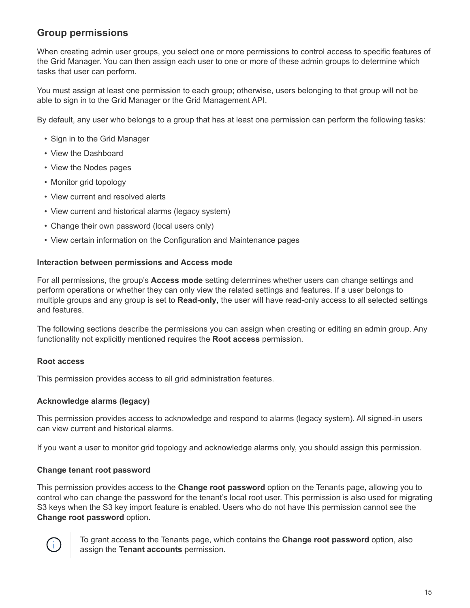## <span id="page-16-0"></span>**Group permissions**

When creating admin user groups, you select one or more permissions to control access to specific features of the Grid Manager. You can then assign each user to one or more of these admin groups to determine which tasks that user can perform.

You must assign at least one permission to each group; otherwise, users belonging to that group will not be able to sign in to the Grid Manager or the Grid Management API.

By default, any user who belongs to a group that has at least one permission can perform the following tasks:

- Sign in to the Grid Manager
- View the Dashboard
- View the Nodes pages
- Monitor grid topology
- View current and resolved alerts
- View current and historical alarms (legacy system)
- Change their own password (local users only)
- View certain information on the Configuration and Maintenance pages

#### **Interaction between permissions and Access mode**

For all permissions, the group's **Access mode** setting determines whether users can change settings and perform operations or whether they can only view the related settings and features. If a user belongs to multiple groups and any group is set to **Read-only**, the user will have read-only access to all selected settings and features.

The following sections describe the permissions you can assign when creating or editing an admin group. Any functionality not explicitly mentioned requires the **Root access** permission.

#### **Root access**

This permission provides access to all grid administration features.

#### **Acknowledge alarms (legacy)**

This permission provides access to acknowledge and respond to alarms (legacy system). All signed-in users can view current and historical alarms.

If you want a user to monitor grid topology and acknowledge alarms only, you should assign this permission.

#### **Change tenant root password**

This permission provides access to the **Change root password** option on the Tenants page, allowing you to control who can change the password for the tenant's local root user. This permission is also used for migrating S3 keys when the S3 key import feature is enabled. Users who do not have this permission cannot see the **Change root password** option.



To grant access to the Tenants page, which contains the **Change root password** option, also assign the **Tenant accounts** permission.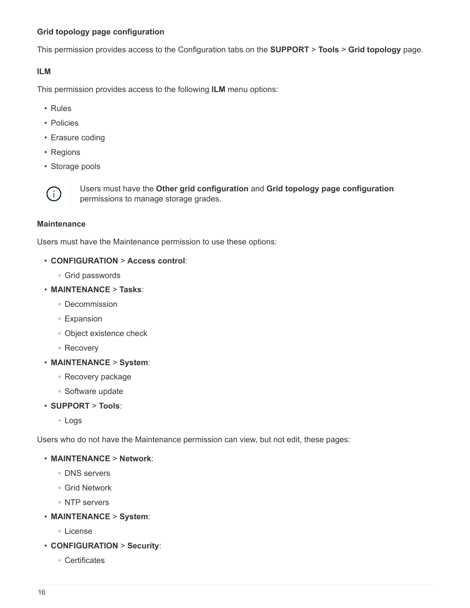#### **Grid topology page configuration**

This permission provides access to the Configuration tabs on the **SUPPORT** > **Tools** > **Grid topology** page.

#### **ILM**

This permission provides access to the following **ILM** menu options:

- Rules
- Policies
- Erasure coding
- Regions
- Storage pools



Users must have the **Other grid configuration** and **Grid topology page configuration** permissions to manage storage grades.

#### **Maintenance**

Users must have the Maintenance permission to use these options:

#### • **CONFIGURATION** > **Access control**:

- Grid passwords
- **MAINTENANCE** > **Tasks**:
	- Decommission
	- Expansion
	- Object existence check
	- Recovery
- **MAINTENANCE** > **System**:
	- Recovery package
	- Software update
- **SUPPORT** > **Tools**:
	- Logs

Users who do not have the Maintenance permission can view, but not edit, these pages:

#### • **MAINTENANCE** > **Network**:

- DNS servers
- Grid Network
- NTP servers
- **MAINTENANCE** > **System**:
	- License
- **CONFIGURATION** > **Security**:
	- Certificates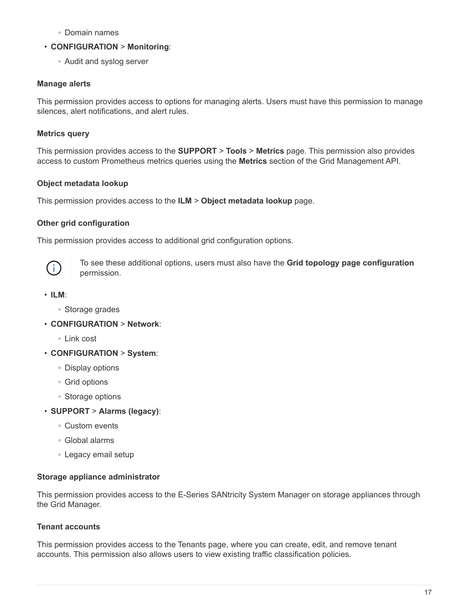- Domain names
- **CONFIGURATION** > **Monitoring**:
	- Audit and syslog server

## **Manage alerts**

This permission provides access to options for managing alerts. Users must have this permission to manage silences, alert notifications, and alert rules.

## **Metrics query**

This permission provides access to the **SUPPORT** > **Tools** > **Metrics** page. This permission also provides access to custom Prometheus metrics queries using the **Metrics** section of the Grid Management API.

## **Object metadata lookup**

This permission provides access to the **ILM** > **Object metadata lookup** page.

## **Other grid configuration**

This permission provides access to additional grid configuration options.



To see these additional options, users must also have the **Grid topology page configuration** permission.

- **ILM**:
	- Storage grades
- **CONFIGURATION** > **Network**:
	- Link cost
- **CONFIGURATION** > **System**:
	- Display options
	- Grid options
	- Storage options
- **SUPPORT** > **Alarms (legacy)**:
	- Custom events
	- Global alarms
	- Legacy email setup

#### **Storage appliance administrator**

This permission provides access to the E-Series SANtricity System Manager on storage appliances through the Grid Manager.

#### **Tenant accounts**

This permission provides access to the Tenants page, where you can create, edit, and remove tenant accounts. This permission also allows users to view existing traffic classification policies.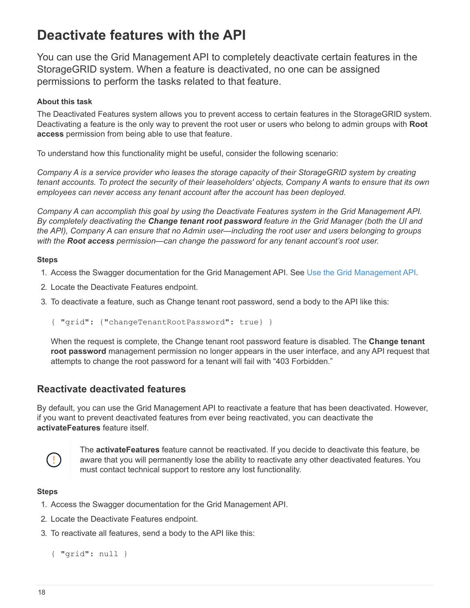## <span id="page-19-0"></span>**Deactivate features with the API**

You can use the Grid Management API to completely deactivate certain features in the StorageGRID system. When a feature is deactivated, no one can be assigned permissions to perform the tasks related to that feature.

#### **About this task**

The Deactivated Features system allows you to prevent access to certain features in the StorageGRID system. Deactivating a feature is the only way to prevent the root user or users who belong to admin groups with **Root access** permission from being able to use that feature.

To understand how this functionality might be useful, consider the following scenario:

*Company A is a service provider who leases the storage capacity of their StorageGRID system by creating tenant accounts. To protect the security of their leaseholders' objects, Company A wants to ensure that its own employees can never access any tenant account after the account has been deployed.*

*Company A can accomplish this goal by using the Deactivate Features system in the Grid Management API. By completely deactivating the Change tenant root password feature in the Grid Manager (both the UI and the API), Company A can ensure that no Admin user—including the root user and users belonging to groups with the Root access permission—can change the password for any tenant account's root user.*

#### **Steps**

- 1. Access the Swagger documentation for the Grid Management API. See [Use the Grid Management API](https://docs.netapp.com/us-en/storagegrid-116/admin/using-grid-management-api.html).
- 2. Locate the Deactivate Features endpoint.
- 3. To deactivate a feature, such as Change tenant root password, send a body to the API like this:
	- { "grid": {"changeTenantRootPassword": true} }

When the request is complete, the Change tenant root password feature is disabled. The **Change tenant root password** management permission no longer appears in the user interface, and any API request that attempts to change the root password for a tenant will fail with "403 Forbidden."

## **Reactivate deactivated features**

By default, you can use the Grid Management API to reactivate a feature that has been deactivated. However, if you want to prevent deactivated features from ever being reactivated, you can deactivate the **activateFeatures** feature itself.



The **activateFeatures** feature cannot be reactivated. If you decide to deactivate this feature, be aware that you will permanently lose the ability to reactivate any other deactivated features. You must contact technical support to restore any lost functionality.

#### **Steps**

- 1. Access the Swagger documentation for the Grid Management API.
- 2. Locate the Deactivate Features endpoint.
- 3. To reactivate all features, send a body to the API like this:

```
{ "grid": null }
```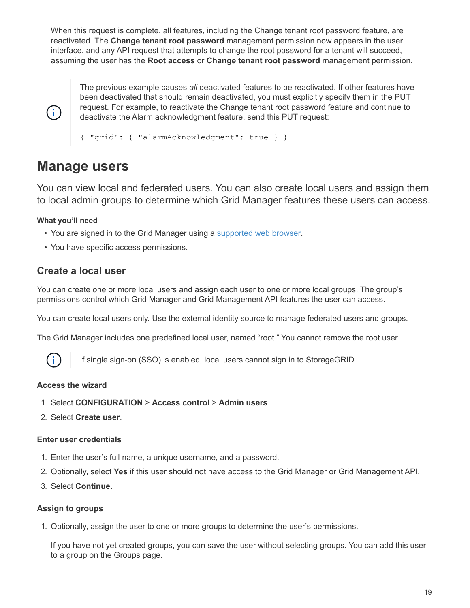When this request is complete, all features, including the Change tenant root password feature, are reactivated. The **Change tenant root password** management permission now appears in the user interface, and any API request that attempts to change the root password for a tenant will succeed, assuming the user has the **Root access** or **Change tenant root password** management permission.



The previous example causes *all* deactivated features to be reactivated. If other features have been deactivated that should remain deactivated, you must explicitly specify them in the PUT request. For example, to reactivate the Change tenant root password feature and continue to deactivate the Alarm acknowledgment feature, send this PUT request:

{ "grid": { "alarmAcknowledgment": true } }

## <span id="page-20-0"></span>**Manage users**

You can view local and federated users. You can also create local users and assign them to local admin groups to determine which Grid Manager features these users can access.

#### **What you'll need**

- You are signed in to the Grid Manager using a [supported web browser.](https://docs.netapp.com/us-en/storagegrid-116/admin/web-browser-requirements.html)
- You have specific access permissions.

## **Create a local user**

You can create one or more local users and assign each user to one or more local groups. The group's permissions control which Grid Manager and Grid Management API features the user can access.

You can create local users only. Use the external identity source to manage federated users and groups.

The Grid Manager includes one predefined local user, named "root." You cannot remove the root user.



If single sign-on (SSO) is enabled, local users cannot sign in to StorageGRID.

#### **Access the wizard**

- 1. Select **CONFIGURATION** > **Access control** > **Admin users**.
- 2. Select **Create user**.

#### **Enter user credentials**

- 1. Enter the user's full name, a unique username, and a password.
- 2. Optionally, select **Yes** if this user should not have access to the Grid Manager or Grid Management API.
- 3. Select **Continue**.

#### **Assign to groups**

1. Optionally, assign the user to one or more groups to determine the user's permissions.

If you have not yet created groups, you can save the user without selecting groups. You can add this user to a group on the Groups page.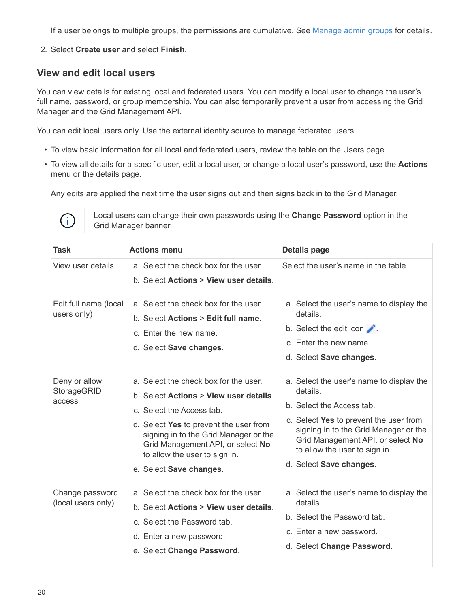If a user belongs to multiple groups, the permissions are cumulative. See [Manage admin groups](#page-13-0) for details.

2. Select **Create user** and select **Finish**.

## **View and edit local users**

You can view details for existing local and federated users. You can modify a local user to change the user's full name, password, or group membership. You can also temporarily prevent a user from accessing the Grid Manager and the Grid Management API.

You can edit local users only. Use the external identity source to manage federated users.

- To view basic information for all local and federated users, review the table on the Users page.
- To view all details for a specific user, edit a local user, or change a local user's password, use the **Actions** menu or the details page.

Any edits are applied the next time the user signs out and then signs back in to the Grid Manager.



Local users can change their own passwords using the **Change Password** option in the Grid Manager banner.

| <b>Task</b>                                   | <b>Actions menu</b>                                                                                                                                                                                                                                                                                        | <b>Details page</b>                                                                                                                                                                                                                                                   |
|-----------------------------------------------|------------------------------------------------------------------------------------------------------------------------------------------------------------------------------------------------------------------------------------------------------------------------------------------------------------|-----------------------------------------------------------------------------------------------------------------------------------------------------------------------------------------------------------------------------------------------------------------------|
| View user details                             | a. Select the check box for the user.<br>b. Select Actions > View user details.                                                                                                                                                                                                                            | Select the user's name in the table.                                                                                                                                                                                                                                  |
| Edit full name (local<br>users only)          | a. Select the check box for the user.<br>b. Select <b>Actions</b> > Edit full name.<br>c. Enter the new name.<br>d. Select Save changes.                                                                                                                                                                   | a. Select the user's name to display the<br>details.<br>b. Select the edit icon $\blacktriangleright$ .<br>c. Enter the new name.<br>d. Select Save changes.                                                                                                          |
| Deny or allow<br><b>StorageGRID</b><br>access | a. Select the check box for the user.<br>b. Select <b>Actions &gt; View user details.</b><br>c. Select the Access tab.<br>d. Select Yes to prevent the user from<br>signing in to the Grid Manager or the<br>Grid Management API, or select No<br>to allow the user to sign in.<br>e. Select Save changes. | a. Select the user's name to display the<br>details.<br>b. Select the Access tab.<br>c. Select Yes to prevent the user from<br>signing in to the Grid Manager or the<br>Grid Management API, or select No<br>to allow the user to sign in.<br>d. Select Save changes. |
| Change password<br>(local users only)         | a. Select the check box for the user.<br>b. Select Actions > View user details.<br>c. Select the Password tab.<br>d. Enter a new password.<br>e. Select Change Password.                                                                                                                                   | a. Select the user's name to display the<br>details.<br>b. Select the Password tab.<br>c. Enter a new password.<br>d. Select Change Password.                                                                                                                         |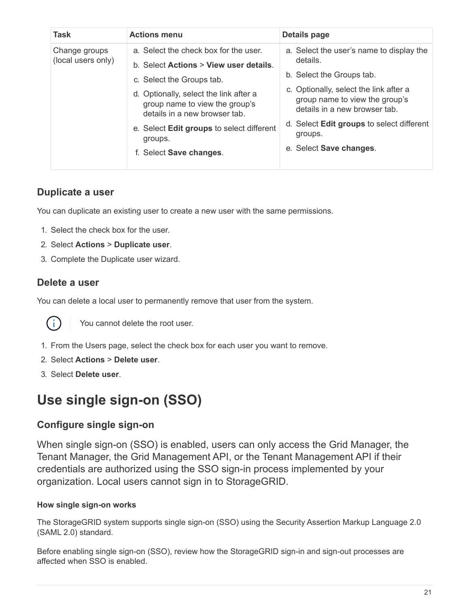| <b>Task</b>                         | <b>Actions menu</b>                                                                                                                                                                                                                                                                                          | Details page                                                                                                                                                                                                                                                                             |
|-------------------------------------|--------------------------------------------------------------------------------------------------------------------------------------------------------------------------------------------------------------------------------------------------------------------------------------------------------------|------------------------------------------------------------------------------------------------------------------------------------------------------------------------------------------------------------------------------------------------------------------------------------------|
| Change groups<br>(local users only) | a. Select the check box for the user.<br>b. Select Actions > View user details.<br>c. Select the Groups tab.<br>d. Optionally, select the link after a<br>group name to view the group's<br>details in a new browser tab.<br>e. Select Edit groups to select different<br>groups.<br>f. Select Save changes. | a. Select the user's name to display the<br>details.<br>b. Select the Groups tab.<br>c. Optionally, select the link after a<br>group name to view the group's<br>details in a new browser tab.<br>d. Select <b>Edit groups</b> to select different<br>groups.<br>e. Select Save changes. |

## **Duplicate a user**

You can duplicate an existing user to create a new user with the same permissions.

- 1. Select the check box for the user.
- 2. Select **Actions** > **Duplicate user**.
- 3. Complete the Duplicate user wizard.

## **Delete a user**

You can delete a local user to permanently remove that user from the system.



You cannot delete the root user.

- 1. From the Users page, select the check box for each user you want to remove.
- 2. Select **Actions** > **Delete user**.
- 3. Select **Delete user**.

## <span id="page-22-0"></span>**Use single sign-on (SSO)**

## **Configure single sign-on**

When single sign-on (SSO) is enabled, users can only access the Grid Manager, the Tenant Manager, the Grid Management API, or the Tenant Management API if their credentials are authorized using the SSO sign-in process implemented by your organization. Local users cannot sign in to StorageGRID.

#### **How single sign-on works**

The StorageGRID system supports single sign-on (SSO) using the Security Assertion Markup Language 2.0 (SAML 2.0) standard.

Before enabling single sign-on (SSO), review how the StorageGRID sign-in and sign-out processes are affected when SSO is enabled.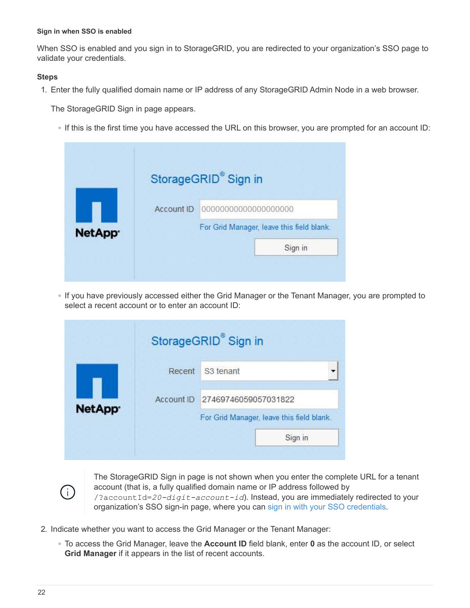#### **Sign in when SSO is enabled**

When SSO is enabled and you sign in to StorageGRID, you are redirected to your organization's SSO page to validate your credentials.

#### **Steps**

1. Enter the fully qualified domain name or IP address of any StorageGRID Admin Node in a web browser.

The StorageGRID Sign in page appears.

◦ If this is the first time you have accessed the URL on this browser, you are prompted for an account ID:

|               |            | StorageGRID® Sign in                      |
|---------------|------------|-------------------------------------------|
|               | Account ID | 00000000000000000000                      |
| <b>NetApp</b> |            | For Grid Manager, leave this field blank. |
|               |            | Sign in                                   |

◦ If you have previously accessed either the Grid Manager or the Tenant Manager, you are prompted to select a recent account or to enter an account ID:

|               |            | StorageGRID® Sign in |                                           |
|---------------|------------|----------------------|-------------------------------------------|
|               | Recent     | S3 tenant            |                                           |
| <b>NetApp</b> | Account ID | 27469746059057031822 |                                           |
|               |            |                      | For Grid Manager, leave this field blank. |
|               |            |                      | Sign in                                   |

Ť.

The StorageGRID Sign in page is not shown when you enter the complete URL for a tenant account (that is, a fully qualified domain name or IP address followed by /?accountId=*20-digit-account-id*). Instead, you are immediately redirected to your organization's SSO sign-in page, where you can [sign in with your SSO credentials.](#page-24-0)

- 2. Indicate whether you want to access the Grid Manager or the Tenant Manager:
	- To access the Grid Manager, leave the **Account ID** field blank, enter **0** as the account ID, or select **Grid Manager** if it appears in the list of recent accounts.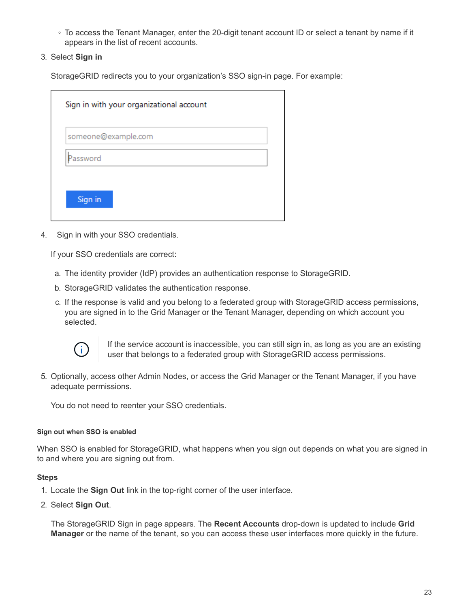- To access the Tenant Manager, enter the 20-digit tenant account ID or select a tenant by name if it appears in the list of recent accounts.
- 3. Select **Sign in**

StorageGRID redirects you to your organization's SSO sign-in page. For example:

|          | someone@example.com |  |
|----------|---------------------|--|
| Password |                     |  |

<span id="page-24-0"></span>4. Sign in with your SSO credentials.

If your SSO credentials are correct:

- a. The identity provider (IdP) provides an authentication response to StorageGRID.
- b. StorageGRID validates the authentication response.
- c. If the response is valid and you belong to a federated group with StorageGRID access permissions, you are signed in to the Grid Manager or the Tenant Manager, depending on which account you selected.



If the service account is inaccessible, you can still sign in, as long as you are an existing user that belongs to a federated group with StorageGRID access permissions.

5. Optionally, access other Admin Nodes, or access the Grid Manager or the Tenant Manager, if you have adequate permissions.

You do not need to reenter your SSO credentials.

#### **Sign out when SSO is enabled**

When SSO is enabled for StorageGRID, what happens when you sign out depends on what you are signed in to and where you are signing out from.

#### **Steps**

- 1. Locate the **Sign Out** link in the top-right corner of the user interface.
- 2. Select **Sign Out**.

The StorageGRID Sign in page appears. The **Recent Accounts** drop-down is updated to include **Grid Manager** or the name of the tenant, so you can access these user interfaces more quickly in the future.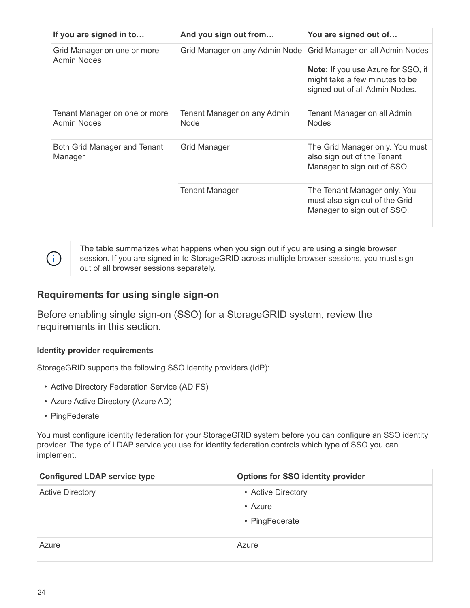| If you are signed in to                             | And you sign out from                      | You are signed out of                                                                                                                     |
|-----------------------------------------------------|--------------------------------------------|-------------------------------------------------------------------------------------------------------------------------------------------|
| Grid Manager on one or more<br>Admin Nodes          | Grid Manager on any Admin Node             | Grid Manager on all Admin Nodes<br>Note: If you use Azure for SSO, it<br>might take a few minutes to be<br>signed out of all Admin Nodes. |
| Tenant Manager on one or more<br><b>Admin Nodes</b> | Tenant Manager on any Admin<br><b>Node</b> | Tenant Manager on all Admin<br><b>Nodes</b>                                                                                               |
| Both Grid Manager and Tenant<br>Manager             | Grid Manager                               | The Grid Manager only. You must<br>also sign out of the Tenant<br>Manager to sign out of SSO.                                             |
|                                                     | <b>Tenant Manager</b>                      | The Tenant Manager only. You<br>must also sign out of the Grid<br>Manager to sign out of SSO.                                             |



The table summarizes what happens when you sign out if you are using a single browser session. If you are signed in to StorageGRID across multiple browser sessions, you must sign out of all browser sessions separately.

## <span id="page-25-0"></span>**Requirements for using single sign-on**

Before enabling single sign-on (SSO) for a StorageGRID system, review the requirements in this section.

#### **Identity provider requirements**

StorageGRID supports the following SSO identity providers (IdP):

- Active Directory Federation Service (AD FS)
- Azure Active Directory (Azure AD)
- PingFederate

You must configure identity federation for your StorageGRID system before you can configure an SSO identity provider. The type of LDAP service you use for identity federation controls which type of SSO you can implement.

| <b>Configured LDAP service type</b> | <b>Options for SSO identity provider</b> |
|-------------------------------------|------------------------------------------|
| <b>Active Directory</b>             | • Active Directory                       |
|                                     | • Azure                                  |
|                                     | • PingFederate                           |
| Azure                               | Azure                                    |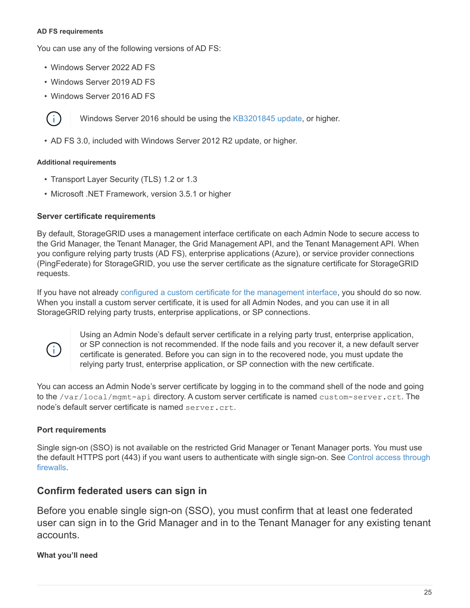#### **AD FS requirements**

You can use any of the following versions of AD FS:

- Windows Server 2022 AD FS
- Windows Server 2019 AD FS
- Windows Server 2016 AD FS



Windows Server 2016 should be using the [KB3201845 update,](https://support.microsoft.com/en-us/help/3201845/cumulative-update-for-windows-10-version-1607-and-windows-server-2016) or higher.

• AD FS 3.0, included with Windows Server 2012 R2 update, or higher.

#### **Additional requirements**

- Transport Layer Security (TLS) 1.2 or 1.3
- Microsoft .NET Framework, version 3.5.1 or higher

#### **Server certificate requirements**

By default, StorageGRID uses a management interface certificate on each Admin Node to secure access to the Grid Manager, the Tenant Manager, the Grid Management API, and the Tenant Management API. When you configure relying party trusts (AD FS), enterprise applications (Azure), or service provider connections (PingFederate) for StorageGRID, you use the server certificate as the signature certificate for StorageGRID requests.

If you have not already [configured a custom certificate for the management interface,](https://docs.netapp.com/us-en/storagegrid-116/admin/configuring-custom-server-certificate-for-grid-manager-tenant-manager.html) you should do so now. When you install a custom server certificate, it is used for all Admin Nodes, and you can use it in all StorageGRID relying party trusts, enterprise applications, or SP connections.



Using an Admin Node's default server certificate in a relying party trust, enterprise application, or SP connection is not recommended. If the node fails and you recover it, a new default server certificate is generated. Before you can sign in to the recovered node, you must update the relying party trust, enterprise application, or SP connection with the new certificate.

You can access an Admin Node's server certificate by logging in to the command shell of the node and going to the /var/local/mgmt-api directory. A custom server certificate is named custom-server.crt. The node's default server certificate is named server.crt.

#### **Port requirements**

Single sign-on (SSO) is not available on the restricted Grid Manager or Tenant Manager ports. You must use the default HTTPS port (443) if you want users to authenticate with single sign-on. See [Control access through](#page-7-0) [firewalls](#page-7-0).

## **Confirm federated users can sign in**

Before you enable single sign-on (SSO), you must confirm that at least one federated user can sign in to the Grid Manager and in to the Tenant Manager for any existing tenant accounts.

#### **What you'll need**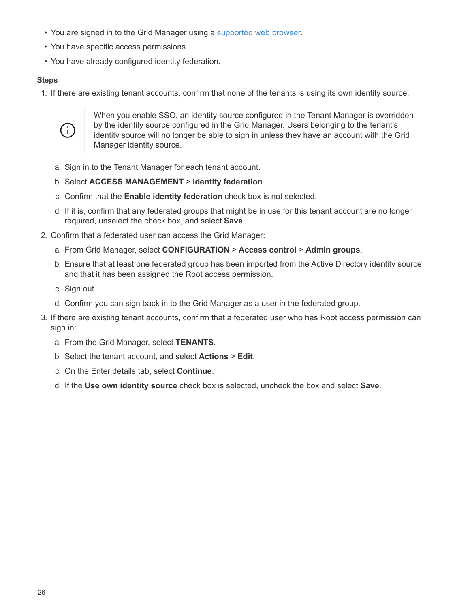- You are signed in to the Grid Manager using a [supported web browser.](https://docs.netapp.com/us-en/storagegrid-116/admin/web-browser-requirements.html)
- You have specific access permissions.
- You have already configured identity federation.

#### **Steps**

1. If there are existing tenant accounts, confirm that none of the tenants is using its own identity source.



When you enable SSO, an identity source configured in the Tenant Manager is overridden by the identity source configured in the Grid Manager. Users belonging to the tenant's identity source will no longer be able to sign in unless they have an account with the Grid Manager identity source.

- a. Sign in to the Tenant Manager for each tenant account.
- b. Select **ACCESS MANAGEMENT** > **Identity federation**.
- c. Confirm that the **Enable identity federation** check box is not selected.
- d. If it is, confirm that any federated groups that might be in use for this tenant account are no longer required, unselect the check box, and select **Save**.
- 2. Confirm that a federated user can access the Grid Manager:
	- a. From Grid Manager, select **CONFIGURATION** > **Access control** > **Admin groups**.
	- b. Ensure that at least one federated group has been imported from the Active Directory identity source and that it has been assigned the Root access permission.
	- c. Sign out.
	- d. Confirm you can sign back in to the Grid Manager as a user in the federated group.
- 3. If there are existing tenant accounts, confirm that a federated user who has Root access permission can sign in:
	- a. From the Grid Manager, select **TENANTS**.
	- b. Select the tenant account, and select **Actions** > **Edit**.
	- c. On the Enter details tab, select **Continue**.
	- d. If the **Use own identity source** check box is selected, uncheck the box and select **Save**.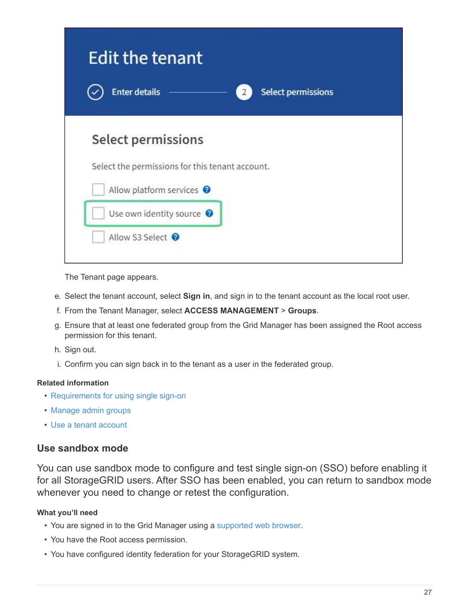| <b>Edit the tenant</b><br><b>Enter details</b>                                                                                             | <b>Select permissions</b> |
|--------------------------------------------------------------------------------------------------------------------------------------------|---------------------------|
| Select permissions<br>Select the permissions for this tenant account.<br>Allow platform services <sup>@</sup><br>Use own identity source @ |                           |

The Tenant page appears.

- e. Select the tenant account, select **Sign in**, and sign in to the tenant account as the local root user.
- f. From the Tenant Manager, select **ACCESS MANAGEMENT** > **Groups**.
- g. Ensure that at least one federated group from the Grid Manager has been assigned the Root access permission for this tenant.
- h. Sign out.
- i. Confirm you can sign back in to the tenant as a user in the federated group.

#### **Related information**

- [Requirements for using single sign-on](#page-25-0)
- [Manage admin groups](#page-13-0)
- [Use a tenant account](https://docs.netapp.com/us-en/storagegrid-116/tenant/index.html)

## <span id="page-28-0"></span>**Use sandbox mode**

You can use sandbox mode to configure and test single sign-on (SSO) before enabling it for all StorageGRID users. After SSO has been enabled, you can return to sandbox mode whenever you need to change or retest the configuration.

#### **What you'll need**

- You are signed in to the Grid Manager using a [supported web browser.](https://docs.netapp.com/us-en/storagegrid-116/admin/web-browser-requirements.html)
- You have the Root access permission.
- You have configured identity federation for your StorageGRID system.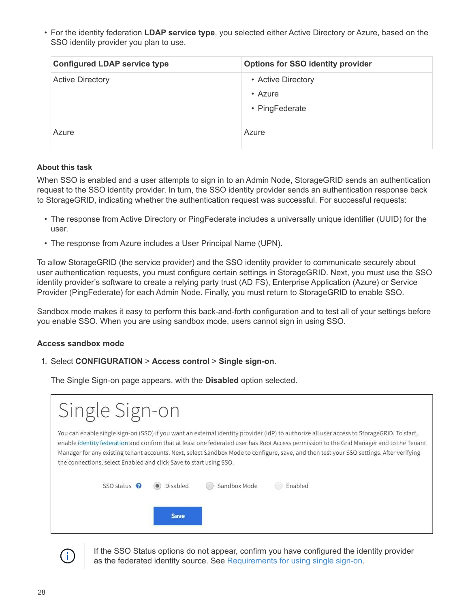• For the identity federation **LDAP service type**, you selected either Active Directory or Azure, based on the SSO identity provider you plan to use.

| <b>Configured LDAP service type</b> | <b>Options for SSO identity provider</b> |
|-------------------------------------|------------------------------------------|
| <b>Active Directory</b>             | • Active Directory<br>• Azure            |
|                                     | • PingFederate                           |
| Azure                               | Azure                                    |

#### **About this task**

When SSO is enabled and a user attempts to sign in to an Admin Node, StorageGRID sends an authentication request to the SSO identity provider. In turn, the SSO identity provider sends an authentication response back to StorageGRID, indicating whether the authentication request was successful. For successful requests:

- The response from Active Directory or PingFederate includes a universally unique identifier (UUID) for the user.
- The response from Azure includes a User Principal Name (UPN).

To allow StorageGRID (the service provider) and the SSO identity provider to communicate securely about user authentication requests, you must configure certain settings in StorageGRID. Next, you must use the SSO identity provider's software to create a relying party trust (AD FS), Enterprise Application (Azure) or Service Provider (PingFederate) for each Admin Node. Finally, you must return to StorageGRID to enable SSO.

Sandbox mode makes it easy to perform this back-and-forth configuration and to test all of your settings before you enable SSO. When you are using sandbox mode, users cannot sign in using SSO.

#### **Access sandbox mode**

#### 1. Select **CONFIGURATION** > **Access control** > **Single sign-on**.

The Single Sign-on page appears, with the **Disabled** option selected.

| Single Sign-on                                                                                                                                                                                                                                                                                                                                                                                                                                                                                           |
|----------------------------------------------------------------------------------------------------------------------------------------------------------------------------------------------------------------------------------------------------------------------------------------------------------------------------------------------------------------------------------------------------------------------------------------------------------------------------------------------------------|
| You can enable single sign-on (SSO) if you want an external identity provider (IdP) to authorize all user access to StorageGRID. To start,<br>enable identity federation and confirm that at least one federated user has Root Access permission to the Grid Manager and to the Tenant<br>Manager for any existing tenant accounts. Next, select Sandbox Mode to configure, save, and then test your SSO settings. After verifying<br>the connections, select Enabled and click Save to start using SSO. |
| SSO status <sup>9</sup><br>Sandbox Mode<br>Disabled<br>Enabled                                                                                                                                                                                                                                                                                                                                                                                                                                           |
| Save                                                                                                                                                                                                                                                                                                                                                                                                                                                                                                     |



If the SSO Status options do not appear, confirm you have configured the identity provider as the federated identity source. See [Requirements for using single sign-on](#page-25-0).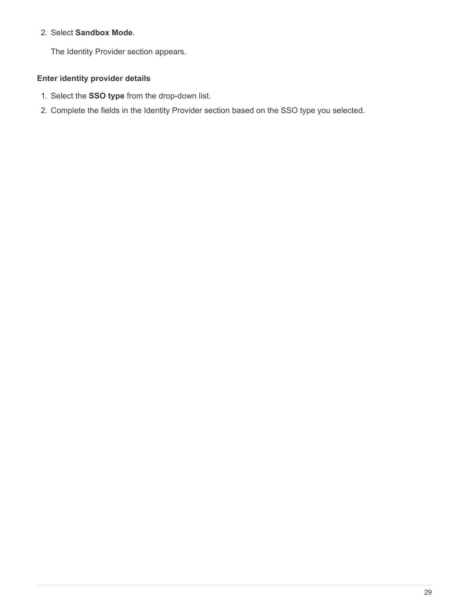#### 2. Select **Sandbox Mode**.

The Identity Provider section appears.

#### **Enter identity provider details**

- 1. Select the **SSO type** from the drop-down list.
- 2. Complete the fields in the Identity Provider section based on the SSO type you selected.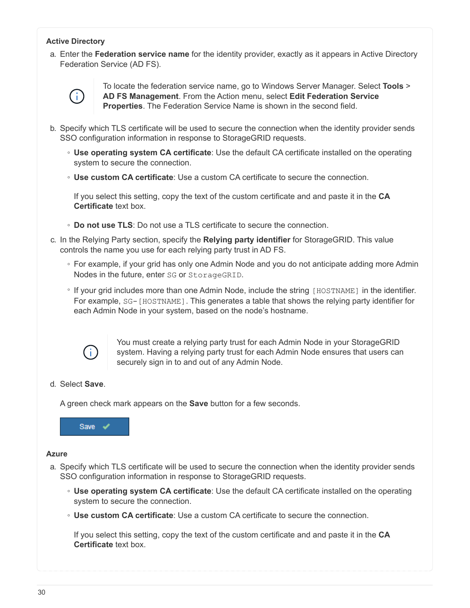#### **Active Directory**

a. Enter the **Federation service name** for the identity provider, exactly as it appears in Active Directory Federation Service (AD FS).



To locate the federation service name, go to Windows Server Manager. Select **Tools** > **AD FS Management**. From the Action menu, select **Edit Federation Service Properties**. The Federation Service Name is shown in the second field.

- b. Specify which TLS certificate will be used to secure the connection when the identity provider sends SSO configuration information in response to StorageGRID requests.
	- **Use operating system CA certificate**: Use the default CA certificate installed on the operating system to secure the connection.
	- **Use custom CA certificate**: Use a custom CA certificate to secure the connection.

If you select this setting, copy the text of the custom certificate and and paste it in the **CA Certificate** text box.

- **Do not use TLS**: Do not use a TLS certificate to secure the connection.
- c. In the Relying Party section, specify the **Relying party identifier** for StorageGRID. This value controls the name you use for each relying party trust in AD FS.
	- For example, if your grid has only one Admin Node and you do not anticipate adding more Admin Nodes in the future, enter SG or StorageGRID.
	- If your grid includes more than one Admin Node, include the string [HOSTNAME] in the identifier. For example, SG-[HOSTNAME]. This generates a table that shows the relying party identifier for each Admin Node in your system, based on the node's hostname.



You must create a relying party trust for each Admin Node in your StorageGRID system. Having a relying party trust for each Admin Node ensures that users can securely sign in to and out of any Admin Node.

#### d. Select **Save**.

A green check mark appears on the **Save** button for a few seconds.



#### **Azure**

- a. Specify which TLS certificate will be used to secure the connection when the identity provider sends SSO configuration information in response to StorageGRID requests.
	- **Use operating system CA certificate**: Use the default CA certificate installed on the operating system to secure the connection.
	- **Use custom CA certificate**: Use a custom CA certificate to secure the connection.

If you select this setting, copy the text of the custom certificate and and paste it in the **CA Certificate** text box.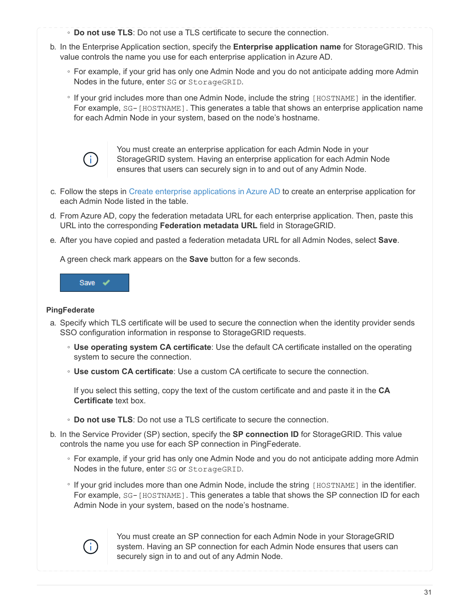- **Do not use TLS**: Do not use a TLS certificate to secure the connection.
- b. In the Enterprise Application section, specify the **Enterprise application name** for StorageGRID. This value controls the name you use for each enterprise application in Azure AD.
	- For example, if your grid has only one Admin Node and you do not anticipate adding more Admin Nodes in the future, enter SG or StorageGRID.
	- If your grid includes more than one Admin Node, include the string [HOSTNAME] in the identifier. For example, SG-[HOSTNAME]. This generates a table that shows an enterprise application name for each Admin Node in your system, based on the node's hostname.



You must create an enterprise application for each Admin Node in your StorageGRID system. Having an enterprise application for each Admin Node ensures that users can securely sign in to and out of any Admin Node.

- c. Follow the steps in [Create enterprise applications in Azure AD](#page-41-0) to create an enterprise application for each Admin Node listed in the table.
- d. From Azure AD, copy the federation metadata URL for each enterprise application. Then, paste this URL into the corresponding **Federation metadata URL** field in StorageGRID.
- e. After you have copied and pasted a federation metadata URL for all Admin Nodes, select **Save**.

A green check mark appears on the **Save** button for a few seconds.



#### **PingFederate**

- a. Specify which TLS certificate will be used to secure the connection when the identity provider sends SSO configuration information in response to StorageGRID requests.
	- **Use operating system CA certificate**: Use the default CA certificate installed on the operating system to secure the connection.
	- **Use custom CA certificate**: Use a custom CA certificate to secure the connection.

If you select this setting, copy the text of the custom certificate and and paste it in the **CA Certificate** text box.

- **Do not use TLS**: Do not use a TLS certificate to secure the connection.
- b. In the Service Provider (SP) section, specify the **SP connection ID** for StorageGRID. This value controls the name you use for each SP connection in PingFederate.
	- For example, if your grid has only one Admin Node and you do not anticipate adding more Admin Nodes in the future, enter SG or StorageGRID.
	- If your grid includes more than one Admin Node, include the string [HOSTNAME] in the identifier. For example, SG-[HOSTNAME]. This generates a table that shows the SP connection ID for each Admin Node in your system, based on the node's hostname.



You must create an SP connection for each Admin Node in your StorageGRID system. Having an SP connection for each Admin Node ensures that users can securely sign in to and out of any Admin Node.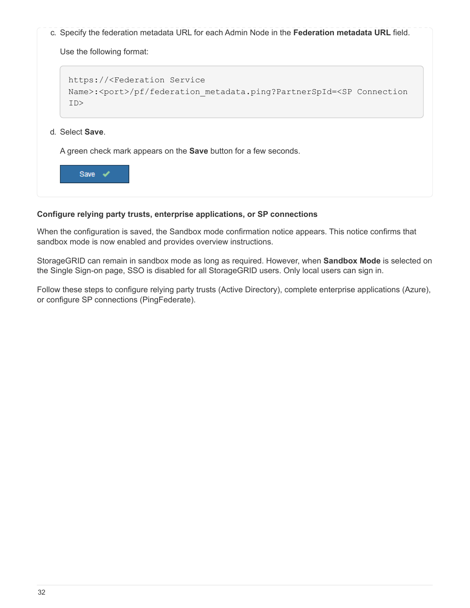c. Specify the federation metadata URL for each Admin Node in the **Federation metadata URL** field.

Use the following format:

```
https://<Federation Service
Name>:<port>/pf/federation metadata.ping?PartnerSpId=<SP Connection
ID>
```
#### d. Select **Save**.

A green check mark appears on the **Save** button for a few seconds.



#### **Configure relying party trusts, enterprise applications, or SP connections**

When the configuration is saved, the Sandbox mode confirmation notice appears. This notice confirms that sandbox mode is now enabled and provides overview instructions.

StorageGRID can remain in sandbox mode as long as required. However, when **Sandbox Mode** is selected on the Single Sign-on page, SSO is disabled for all StorageGRID users. Only local users can sign in.

Follow these steps to configure relying party trusts (Active Directory), complete enterprise applications (Azure), or configure SP connections (PingFederate).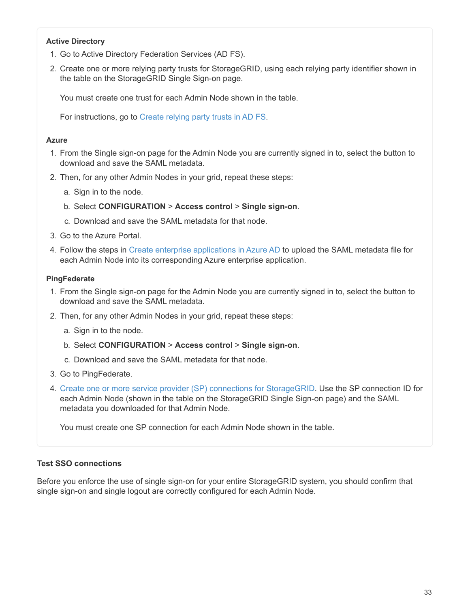#### **Active Directory**

- 1. Go to Active Directory Federation Services (AD FS).
- 2. Create one or more relying party trusts for StorageGRID, using each relying party identifier shown in the table on the StorageGRID Single Sign-on page.

You must create one trust for each Admin Node shown in the table.

For instructions, go to [Create relying party trusts in AD FS](#page-37-0).

#### **Azure**

- 1. From the Single sign-on page for the Admin Node you are currently signed in to, select the button to download and save the SAML metadata.
- 2. Then, for any other Admin Nodes in your grid, repeat these steps:
	- a. Sign in to the node.
	- b. Select **CONFIGURATION** > **Access control** > **Single sign-on**.
	- c. Download and save the SAML metadata for that node.
- 3. Go to the Azure Portal.
- 4. Follow the steps in [Create enterprise applications in Azure AD](#page-41-0) to upload the SAML metadata file for each Admin Node into its corresponding Azure enterprise application.

#### **PingFederate**

- 1. From the Single sign-on page for the Admin Node you are currently signed in to, select the button to download and save the SAML metadata.
- 2. Then, for any other Admin Nodes in your grid, repeat these steps:
	- a. Sign in to the node.
	- b. Select **CONFIGURATION** > **Access control** > **Single sign-on**.
	- c. Download and save the SAML metadata for that node.
- 3. Go to PingFederate.
- 4. [Create one or more service provider \(SP\) connections for StorageGRID](#page-43-0). Use the SP connection ID for each Admin Node (shown in the table on the StorageGRID Single Sign-on page) and the SAML metadata you downloaded for that Admin Node.

You must create one SP connection for each Admin Node shown in the table.

#### **Test SSO connections**

Before you enforce the use of single sign-on for your entire StorageGRID system, you should confirm that single sign-on and single logout are correctly configured for each Admin Node.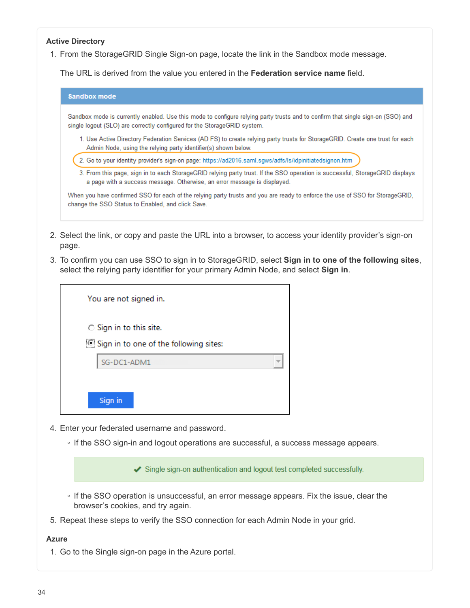#### **Active Directory**

1. From the StorageGRID Single Sign-on page, locate the link in the Sandbox mode message.

The URL is derived from the value you entered in the **Federation service name** field.

| <b>Sandbox mode</b> |                                                                                                                                                                                                             |
|---------------------|-------------------------------------------------------------------------------------------------------------------------------------------------------------------------------------------------------------|
|                     | Sandbox mode is currently enabled. Use this mode to configure relying party trusts and to confirm that single sign-on (SSO) and<br>single logout (SLO) are correctly configured for the StorageGRID system. |
|                     | 1. Use Active Directory Federation Services (AD FS) to create relying party trusts for StorageGRID. Create one trust for each<br>Admin Node, using the relying party identifier(s) shown below.             |
|                     | 2. Go to your identity provider's sign-on page: https://ad2016.saml.sgws/adfs/ls/idpinitiatedsignon.htm                                                                                                     |
|                     | 3. From this page, sign in to each StorageGRID relying party trust. If the SSO operation is successful, StorageGRID displays<br>a page with a success message. Otherwise, an error message is displayed.    |
|                     | When you have confirmed SSO for each of the relying party trusts and you are ready to enforce the use of SSO for StorageGRID,<br>change the SSO Status to Enabled, and click Save.                          |

- 2. Select the link, or copy and paste the URL into a browser, to access your identity provider's sign-on page.
- 3. To confirm you can use SSO to sign in to StorageGRID, select **Sign in to one of the following sites**, select the relying party identifier for your primary Admin Node, and select **Sign in**.

| You are not signed in.                                            |  |
|-------------------------------------------------------------------|--|
| ○ Sign in to this site.<br>Sign in to one of the following sites: |  |
| SG-DC1-ADM1                                                       |  |
| Sign in                                                           |  |

- 4. Enter your federated username and password.
	- If the SSO sign-in and logout operations are successful, a success message appears.

Single sign-on authentication and logout test completed successfully.

- If the SSO operation is unsuccessful, an error message appears. Fix the issue, clear the browser's cookies, and try again.
- 5. Repeat these steps to verify the SSO connection for each Admin Node in your grid.

#### **Azure**

1. Go to the Single sign-on page in the Azure portal.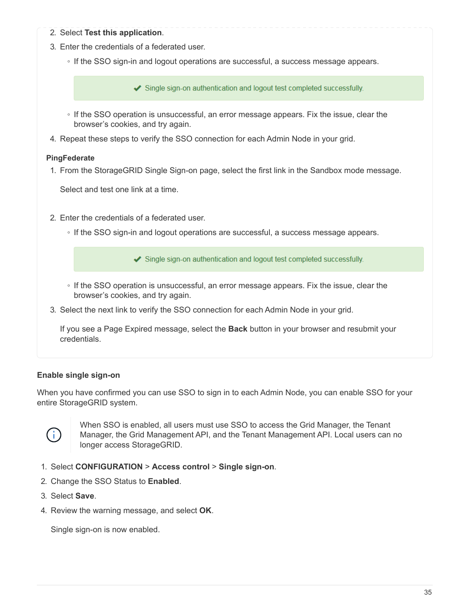- 2. Select **Test this application**.
- 3. Enter the credentials of a federated user.
	- If the SSO sign-in and logout operations are successful, a success message appears.

Single sign-on authentication and logout test completed successfully.

- If the SSO operation is unsuccessful, an error message appears. Fix the issue, clear the browser's cookies, and try again.
- 4. Repeat these steps to verify the SSO connection for each Admin Node in your grid.

#### **PingFederate**

1. From the StorageGRID Single Sign-on page, select the first link in the Sandbox mode message.

Select and test one link at a time.

- 2. Enter the credentials of a federated user.
	- If the SSO sign-in and logout operations are successful, a success message appears.

Single sign-on authentication and logout test completed successfully.

- If the SSO operation is unsuccessful, an error message appears. Fix the issue, clear the browser's cookies, and try again.
- 3. Select the next link to verify the SSO connection for each Admin Node in your grid.

If you see a Page Expired message, select the **Back** button in your browser and resubmit your credentials.

#### **Enable single sign-on**

When you have confirmed you can use SSO to sign in to each Admin Node, you can enable SSO for your entire StorageGRID system.



When SSO is enabled, all users must use SSO to access the Grid Manager, the Tenant Manager, the Grid Management API, and the Tenant Management API. Local users can no longer access StorageGRID.

- 1. Select **CONFIGURATION** > **Access control** > **Single sign-on**.
- 2. Change the SSO Status to **Enabled**.
- 3. Select **Save**.
- 4. Review the warning message, and select **OK**.

Single sign-on is now enabled.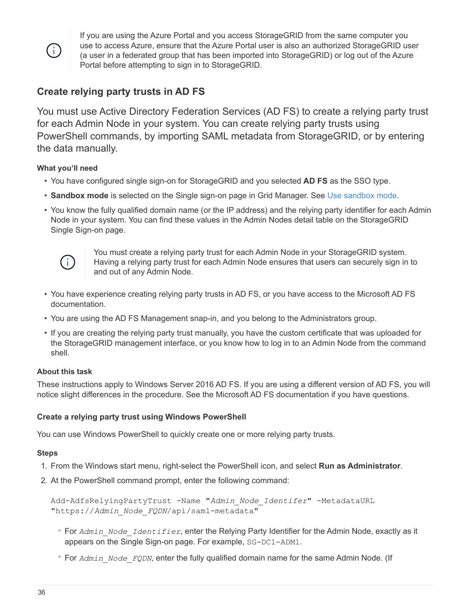$\mathbf{d}$ 

If you are using the Azure Portal and you access StorageGRID from the same computer you use to access Azure, ensure that the Azure Portal user is also an authorized StorageGRID user (a user in a federated group that has been imported into StorageGRID) or log out of the Azure Portal before attempting to sign in to StorageGRID.

## <span id="page-37-0"></span>**Create relying party trusts in AD FS**

You must use Active Directory Federation Services (AD FS) to create a relying party trust for each Admin Node in your system. You can create relying party trusts using PowerShell commands, by importing SAML metadata from StorageGRID, or by entering the data manually.

#### **What you'll need**

- You have configured single sign-on for StorageGRID and you selected **AD FS** as the SSO type.
- **Sandbox mode** is selected on the Single sign-on page in Grid Manager. See [Use sandbox mode](#page-28-0).
- You know the fully qualified domain name (or the IP address) and the relying party identifier for each Admin Node in your system. You can find these values in the Admin Nodes detail table on the StorageGRID Single Sign-on page.



You must create a relying party trust for each Admin Node in your StorageGRID system. Having a relying party trust for each Admin Node ensures that users can securely sign in to and out of any Admin Node.

- You have experience creating relying party trusts in AD FS, or you have access to the Microsoft AD FS documentation.
- You are using the AD FS Management snap-in, and you belong to the Administrators group.
- If you are creating the relying party trust manually, you have the custom certificate that was uploaded for the StorageGRID management interface, or you know how to log in to an Admin Node from the command shell.

#### **About this task**

These instructions apply to Windows Server 2016 AD FS. If you are using a different version of AD FS, you will notice slight differences in the procedure. See the Microsoft AD FS documentation if you have questions.

#### **Create a relying party trust using Windows PowerShell**

You can use Windows PowerShell to quickly create one or more relying party trusts.

#### **Steps**

- 1. From the Windows start menu, right-select the PowerShell icon, and select **Run as Administrator**.
- 2. At the PowerShell command prompt, enter the following command:

```
Add-AdfsRelyingPartyTrust -Name "Admin_Node_Identifer" -MetadataURL
"https://Admin_Node_FQDN/api/saml-metadata"
```
- For *Admin\_Node\_Identifier*, enter the Relying Party Identifier for the Admin Node, exactly as it appears on the Single Sign-on page. For example, SG-DC1-ADM1.
- For *Admin\_Node\_FQDN*, enter the fully qualified domain name for the same Admin Node. (If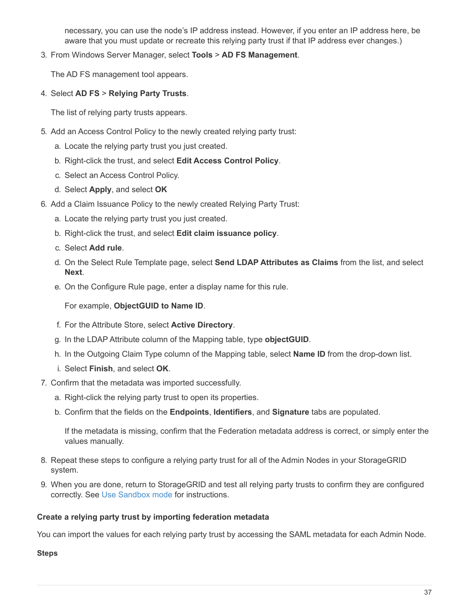necessary, you can use the node's IP address instead. However, if you enter an IP address here, be aware that you must update or recreate this relying party trust if that IP address ever changes.)

3. From Windows Server Manager, select **Tools** > **AD FS Management**.

The AD FS management tool appears.

4. Select **AD FS** > **Relying Party Trusts**.

The list of relying party trusts appears.

- 5. Add an Access Control Policy to the newly created relying party trust:
	- a. Locate the relying party trust you just created.
	- b. Right-click the trust, and select **Edit Access Control Policy**.
	- c. Select an Access Control Policy.
	- d. Select **Apply**, and select **OK**
- 6. Add a Claim Issuance Policy to the newly created Relying Party Trust:
	- a. Locate the relying party trust you just created.
	- b. Right-click the trust, and select **Edit claim issuance policy**.
	- c. Select **Add rule**.
	- d. On the Select Rule Template page, select **Send LDAP Attributes as Claims** from the list, and select **Next**.
	- e. On the Configure Rule page, enter a display name for this rule.

For example, **ObjectGUID to Name ID**.

- f. For the Attribute Store, select **Active Directory**.
- g. In the LDAP Attribute column of the Mapping table, type **objectGUID**.
- h. In the Outgoing Claim Type column of the Mapping table, select **Name ID** from the drop-down list.
- i. Select **Finish**, and select **OK**.
- 7. Confirm that the metadata was imported successfully.
	- a. Right-click the relying party trust to open its properties.
	- b. Confirm that the fields on the **Endpoints**, **Identifiers**, and **Signature** tabs are populated.

If the metadata is missing, confirm that the Federation metadata address is correct, or simply enter the values manually.

- 8. Repeat these steps to configure a relying party trust for all of the Admin Nodes in your StorageGRID system.
- 9. When you are done, return to StorageGRID and test all relying party trusts to confirm they are configured correctly. See [Use Sandbox mode](#page-28-0) for instructions.

#### **Create a relying party trust by importing federation metadata**

You can import the values for each relying party trust by accessing the SAML metadata for each Admin Node.

#### **Steps**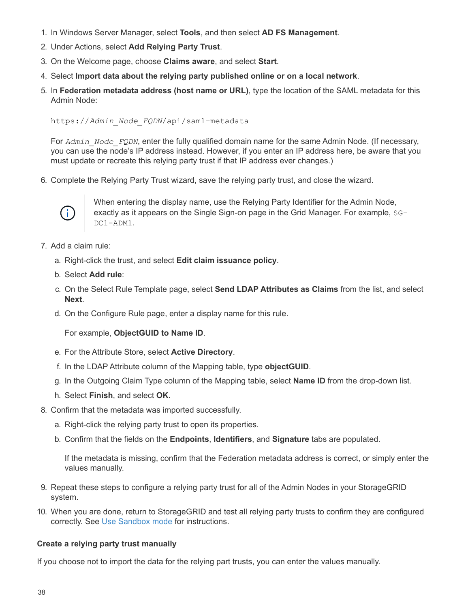- 1. In Windows Server Manager, select **Tools**, and then select **AD FS Management**.
- 2. Under Actions, select **Add Relying Party Trust**.
- 3. On the Welcome page, choose **Claims aware**, and select **Start**.
- 4. Select **Import data about the relying party published online or on a local network**.
- 5. In **Federation metadata address (host name or URL)**, type the location of the SAML metadata for this Admin Node:

https://*Admin\_Node\_FQDN*/api/saml-metadata

For *Admin* Node FQDN, enter the fully qualified domain name for the same Admin Node. (If necessary, you can use the node's IP address instead. However, if you enter an IP address here, be aware that you must update or recreate this relying party trust if that IP address ever changes.)

6. Complete the Relying Party Trust wizard, save the relying party trust, and close the wizard.



When entering the display name, use the Relying Party Identifier for the Admin Node, exactly as it appears on the Single Sign-on page in the Grid Manager. For example, SG-DC1-ADM1.

- 7. Add a claim rule:
	- a. Right-click the trust, and select **Edit claim issuance policy**.
	- b. Select **Add rule**:
	- c. On the Select Rule Template page, select **Send LDAP Attributes as Claims** from the list, and select **Next**.
	- d. On the Configure Rule page, enter a display name for this rule.

For example, **ObjectGUID to Name ID**.

- e. For the Attribute Store, select **Active Directory**.
- f. In the LDAP Attribute column of the Mapping table, type **objectGUID**.
- g. In the Outgoing Claim Type column of the Mapping table, select **Name ID** from the drop-down list.
- h. Select **Finish**, and select **OK**.
- 8. Confirm that the metadata was imported successfully.
	- a. Right-click the relying party trust to open its properties.
	- b. Confirm that the fields on the **Endpoints**, **Identifiers**, and **Signature** tabs are populated.

If the metadata is missing, confirm that the Federation metadata address is correct, or simply enter the values manually.

- 9. Repeat these steps to configure a relying party trust for all of the Admin Nodes in your StorageGRID system.
- 10. When you are done, return to StorageGRID and test all relying party trusts to confirm they are configured correctly. See [Use Sandbox mode](#page-28-0) for instructions.

#### **Create a relying party trust manually**

If you choose not to import the data for the relying part trusts, you can enter the values manually.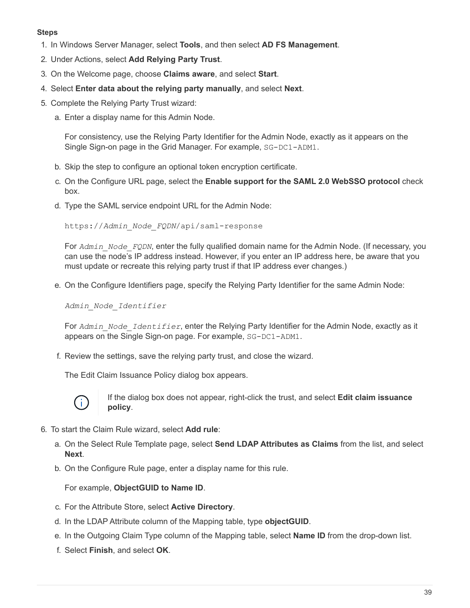#### **Steps**

- 1. In Windows Server Manager, select **Tools**, and then select **AD FS Management**.
- 2. Under Actions, select **Add Relying Party Trust**.
- 3. On the Welcome page, choose **Claims aware**, and select **Start**.
- 4. Select **Enter data about the relying party manually**, and select **Next**.
- 5. Complete the Relying Party Trust wizard:
	- a. Enter a display name for this Admin Node.

For consistency, use the Relying Party Identifier for the Admin Node, exactly as it appears on the Single Sign-on page in the Grid Manager. For example, SG-DC1-ADM1.

- b. Skip the step to configure an optional token encryption certificate.
- c. On the Configure URL page, select the **Enable support for the SAML 2.0 WebSSO protocol** check box.
- d. Type the SAML service endpoint URL for the Admin Node:

https://*Admin\_Node\_FQDN*/api/saml-response

For *Admin* Node FQDN, enter the fully qualified domain name for the Admin Node. (If necessary, you can use the node's IP address instead. However, if you enter an IP address here, be aware that you must update or recreate this relying party trust if that IP address ever changes.)

e. On the Configure Identifiers page, specify the Relying Party Identifier for the same Admin Node:

*Admin\_Node\_Identifier*

For *Admin\_Node\_Identifier*, enter the Relying Party Identifier for the Admin Node, exactly as it appears on the Single Sign-on page. For example, SG-DC1-ADM1.

f. Review the settings, save the relying party trust, and close the wizard.

The Edit Claim Issuance Policy dialog box appears.



If the dialog box does not appear, right-click the trust, and select **Edit claim issuance policy**.

- 6. To start the Claim Rule wizard, select **Add rule**:
	- a. On the Select Rule Template page, select **Send LDAP Attributes as Claims** from the list, and select **Next**.
	- b. On the Configure Rule page, enter a display name for this rule.

For example, **ObjectGUID to Name ID**.

- c. For the Attribute Store, select **Active Directory**.
- d. In the LDAP Attribute column of the Mapping table, type **objectGUID**.
- e. In the Outgoing Claim Type column of the Mapping table, select **Name ID** from the drop-down list.
- f. Select **Finish**, and select **OK**.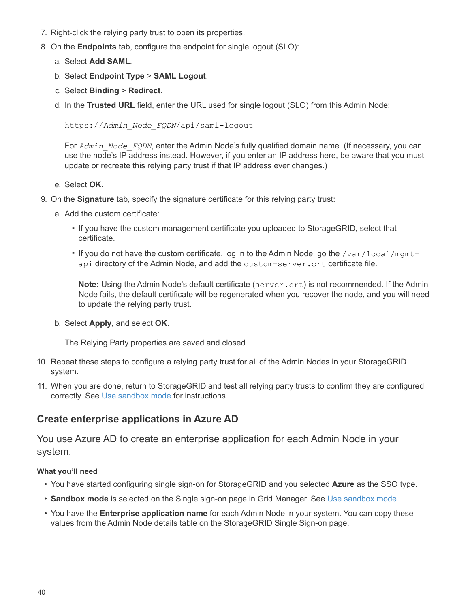- 7. Right-click the relying party trust to open its properties.
- 8. On the **Endpoints** tab, configure the endpoint for single logout (SLO):
	- a. Select **Add SAML**.
	- b. Select **Endpoint Type** > **SAML Logout**.
	- c. Select **Binding** > **Redirect**.
	- d. In the **Trusted URL** field, enter the URL used for single logout (SLO) from this Admin Node:

https://*Admin\_Node\_FQDN*/api/saml-logout

For *Admin* Node FQDN, enter the Admin Node's fully qualified domain name. (If necessary, you can use the node's IP address instead. However, if you enter an IP address here, be aware that you must update or recreate this relying party trust if that IP address ever changes.)

- e. Select **OK**.
- 9. On the **Signature** tab, specify the signature certificate for this relying party trust:
	- a. Add the custom certificate:
		- If you have the custom management certificate you uploaded to StorageGRID, select that certificate.
		- If you do not have the custom certificate, log in to the Admin Node, go the /var/local/mgmtapi directory of the Admin Node, and add the custom-server.crt certificate file.

**Note:** Using the Admin Node's default certificate (server.crt) is not recommended. If the Admin Node fails, the default certificate will be regenerated when you recover the node, and you will need to update the relying party trust.

b. Select **Apply**, and select **OK**.

The Relying Party properties are saved and closed.

- 10. Repeat these steps to configure a relying party trust for all of the Admin Nodes in your StorageGRID system.
- 11. When you are done, return to StorageGRID and test all relying party trusts to confirm they are configured correctly. See [Use sandbox mode](#page-28-0) for instructions.

## <span id="page-41-0"></span>**Create enterprise applications in Azure AD**

You use Azure AD to create an enterprise application for each Admin Node in your system.

#### **What you'll need**

- You have started configuring single sign-on for StorageGRID and you selected **Azure** as the SSO type.
- **Sandbox mode** is selected on the Single sign-on page in Grid Manager. See [Use sandbox mode](#page-28-0).
- You have the **Enterprise application name** for each Admin Node in your system. You can copy these values from the Admin Node details table on the StorageGRID Single Sign-on page.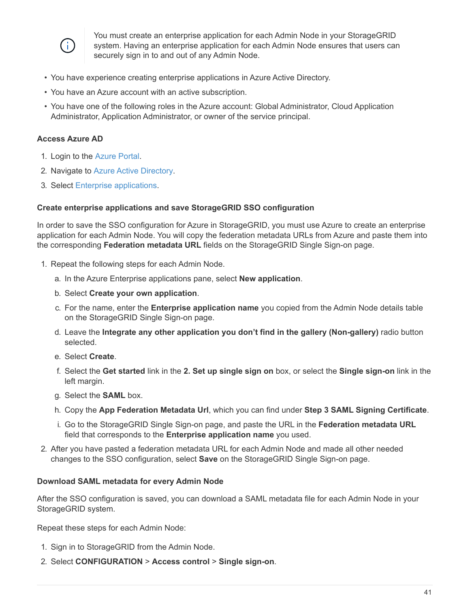

You must create an enterprise application for each Admin Node in your StorageGRID system. Having an enterprise application for each Admin Node ensures that users can securely sign in to and out of any Admin Node.

- You have experience creating enterprise applications in Azure Active Directory.
- You have an Azure account with an active subscription.
- You have one of the following roles in the Azure account: Global Administrator, Cloud Application Administrator, Application Administrator, or owner of the service principal.

#### **Access Azure AD**

- 1. Login to the [Azure Portal.](https://portal.azure.com)
- 2. Navigate to [Azure Active Directory](https://portal.azure.com/#blade/Microsoft_AAD_IAM/ActiveDirectoryMenuBlade).
- 3. Select [Enterprise applications](https://portal.azure.com/#blade/Microsoft_AAD_IAM/StartboardApplicationsMenuBlade/Overview/menuId/).

#### **Create enterprise applications and save StorageGRID SSO configuration**

In order to save the SSO configuration for Azure in StorageGRID, you must use Azure to create an enterprise application for each Admin Node. You will copy the federation metadata URLs from Azure and paste them into the corresponding **Federation metadata URL** fields on the StorageGRID Single Sign-on page.

- 1. Repeat the following steps for each Admin Node.
	- a. In the Azure Enterprise applications pane, select **New application**.
	- b. Select **Create your own application**.
	- c. For the name, enter the **Enterprise application name** you copied from the Admin Node details table on the StorageGRID Single Sign-on page.
	- d. Leave the **Integrate any other application you don't find in the gallery (Non-gallery)** radio button selected.
	- e. Select **Create**.
	- f. Select the **Get started** link in the **2. Set up single sign on** box, or select the **Single sign-on** link in the left margin.
	- g. Select the **SAML** box.
	- h. Copy the **App Federation Metadata Url**, which you can find under **Step 3 SAML Signing Certificate**.
	- i. Go to the StorageGRID Single Sign-on page, and paste the URL in the **Federation metadata URL** field that corresponds to the **Enterprise application name** you used.
- 2. After you have pasted a federation metadata URL for each Admin Node and made all other needed changes to the SSO configuration, select **Save** on the StorageGRID Single Sign-on page.

#### **Download SAML metadata for every Admin Node**

After the SSO configuration is saved, you can download a SAML metadata file for each Admin Node in your StorageGRID system.

Repeat these steps for each Admin Node:

- 1. Sign in to StorageGRID from the Admin Node.
- 2. Select **CONFIGURATION** > **Access control** > **Single sign-on**.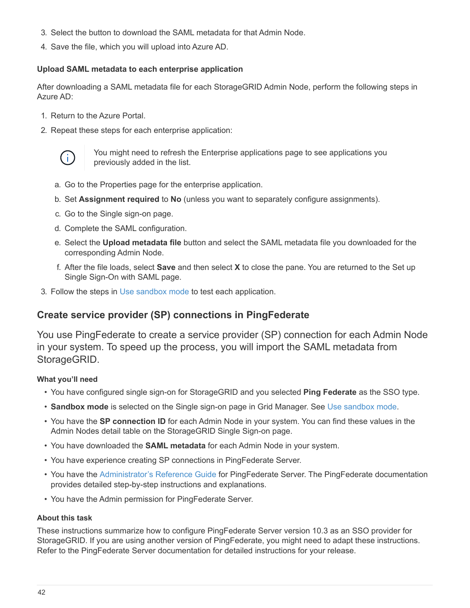- 3. Select the button to download the SAML metadata for that Admin Node.
- 4. Save the file, which you will upload into Azure AD.

#### **Upload SAML metadata to each enterprise application**

After downloading a SAML metadata file for each StorageGRID Admin Node, perform the following steps in Azure AD:

- 1. Return to the Azure Portal.
- 2. Repeat these steps for each enterprise application:



You might need to refresh the Enterprise applications page to see applications you previously added in the list.

- a. Go to the Properties page for the enterprise application.
- b. Set **Assignment required** to **No** (unless you want to separately configure assignments).
- c. Go to the Single sign-on page.
- d. Complete the SAML configuration.
- e. Select the **Upload metadata file** button and select the SAML metadata file you downloaded for the corresponding Admin Node.
- f. After the file loads, select **Save** and then select **X** to close the pane. You are returned to the Set up Single Sign-On with SAML page.
- 3. Follow the steps in [Use sandbox mode](#page-28-0) to test each application.

## <span id="page-43-0"></span>**Create service provider (SP) connections in PingFederate**

You use PingFederate to create a service provider (SP) connection for each Admin Node in your system. To speed up the process, you will import the SAML metadata from StorageGRID.

#### **What you'll need**

- You have configured single sign-on for StorageGRID and you selected **Ping Federate** as the SSO type.
- **Sandbox mode** is selected on the Single sign-on page in Grid Manager. See [Use sandbox mode](#page-28-0).
- You have the **SP connection ID** for each Admin Node in your system. You can find these values in the Admin Nodes detail table on the StorageGRID Single Sign-on page.
- You have downloaded the **SAML metadata** for each Admin Node in your system.
- You have experience creating SP connections in PingFederate Server.
- You have the [Administrator's Reference Guide](https://docs.pingidentity.com/bundle/pingfederate-103/page/kfj1564002962494.html) for PingFederate Server. The PingFederate documentation provides detailed step-by-step instructions and explanations.
- You have the Admin permission for PingFederate Server.

#### **About this task**

These instructions summarize how to configure PingFederate Server version 10.3 as an SSO provider for StorageGRID. If you are using another version of PingFederate, you might need to adapt these instructions. Refer to the PingFederate Server documentation for detailed instructions for your release.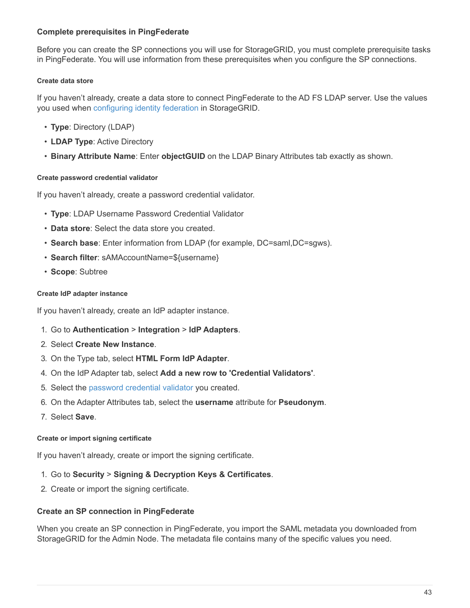#### **Complete prerequisites in PingFederate**

Before you can create the SP connections you will use for StorageGRID, you must complete prerequisite tasks in PingFederate. You will use information from these prerequisites when you configure the SP connections.

#### <span id="page-44-2"></span>**Create data store**

If you haven't already, create a data store to connect PingFederate to the AD FS LDAP server. Use the values you used when [configuring identity federation](#page-8-0) in StorageGRID.

- **Type**: Directory (LDAP)
- **LDAP Type**: Active Directory
- <span id="page-44-0"></span>• **Binary Attribute Name**: Enter **objectGUID** on the LDAP Binary Attributes tab exactly as shown.

#### **Create password credential validator**

If you haven't already, create a password credential validator.

- **Type**: LDAP Username Password Credential Validator
- **Data store**: Select the data store you created.
- **Search base**: Enter information from LDAP (for example, DC=saml,DC=sgws).
- **Search filter**: sAMAccountName=\${username}
- <span id="page-44-1"></span>• **Scope**: Subtree

#### **Create IdP adapter instance**

If you haven't already, create an IdP adapter instance.

- 1. Go to **Authentication** > **Integration** > **IdP Adapters**.
- 2. Select **Create New Instance**.
- 3. On the Type tab, select **HTML Form IdP Adapter**.
- 4. On the IdP Adapter tab, select **Add a new row to 'Credential Validators'**.
- 5. Select the [password credential validator](#page-44-0) you created.
- 6. On the Adapter Attributes tab, select the **username** attribute for **Pseudonym**.
- <span id="page-44-3"></span>7. Select **Save**.

#### **Create or import signing certificate**

If you haven't already, create or import the signing certificate.

- 1. Go to **Security** > **Signing & Decryption Keys & Certificates**.
- 2. Create or import the signing certificate.

#### **Create an SP connection in PingFederate**

When you create an SP connection in PingFederate, you import the SAML metadata you downloaded from StorageGRID for the Admin Node. The metadata file contains many of the specific values you need.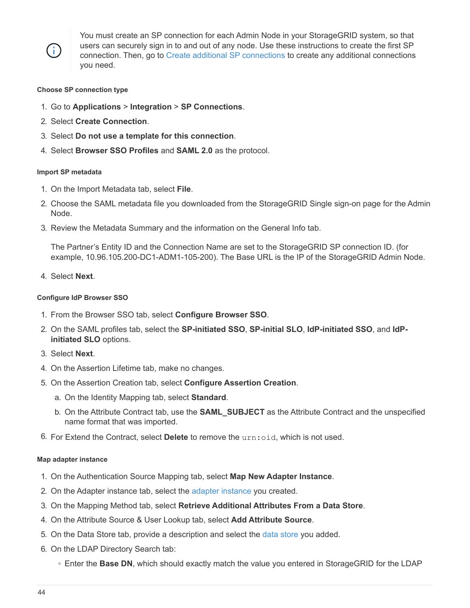

You must create an SP connection for each Admin Node in your StorageGRID system, so that users can securely sign in to and out of any node. Use these instructions to create the first SP connection. Then, go to [Create additional SP connections](#page-46-0) to create any additional connections you need.

#### **Choose SP connection type**

- 1. Go to **Applications** > **Integration** > **SP Connections**.
- 2. Select **Create Connection**.
- 3. Select **Do not use a template for this connection**.
- 4. Select **Browser SSO Profiles** and **SAML 2.0** as the protocol.

#### **Import SP metadata**

- 1. On the Import Metadata tab, select **File**.
- 2. Choose the SAML metadata file you downloaded from the StorageGRID Single sign-on page for the Admin Node.
- 3. Review the Metadata Summary and the information on the General Info tab.

The Partner's Entity ID and the Connection Name are set to the StorageGRID SP connection ID. (for example, 10.96.105.200-DC1-ADM1-105-200). The Base URL is the IP of the StorageGRID Admin Node.

4. Select **Next**.

#### **Configure IdP Browser SSO**

- 1. From the Browser SSO tab, select **Configure Browser SSO**.
- 2. On the SAML profiles tab, select the **SP-initiated SSO**, **SP-initial SLO**, **IdP-initiated SSO**, and **IdPinitiated SLO** options.
- 3. Select **Next**.
- 4. On the Assertion Lifetime tab, make no changes.
- 5. On the Assertion Creation tab, select **Configure Assertion Creation**.
	- a. On the Identity Mapping tab, select **Standard**.
	- b. On the Attribute Contract tab, use the **SAML\_SUBJECT** as the Attribute Contract and the unspecified name format that was imported.
- 6. For Extend the Contract, select **Delete** to remove the urn:oid, which is not used.

#### **Map adapter instance**

- 1. On the Authentication Source Mapping tab, select **Map New Adapter Instance**.
- 2. On the Adapter instance tab, select the [adapter instance](#page-44-1) you created.
- 3. On the Mapping Method tab, select **Retrieve Additional Attributes From a Data Store**.
- 4. On the Attribute Source & User Lookup tab, select **Add Attribute Source**.
- 5. On the Data Store tab, provide a description and select the [data store](#page-44-2) you added.
- 6. On the LDAP Directory Search tab:
	- Enter the **Base DN**, which should exactly match the value you entered in StorageGRID for the LDAP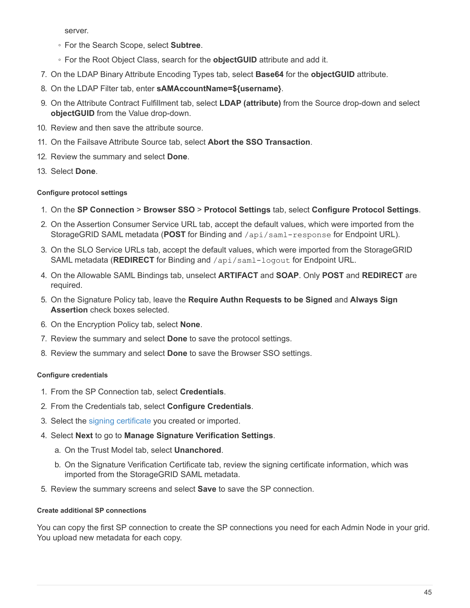server.

- For the Search Scope, select **Subtree**.
- For the Root Object Class, search for the **objectGUID** attribute and add it.
- 7. On the LDAP Binary Attribute Encoding Types tab, select **Base64** for the **objectGUID** attribute.
- 8. On the LDAP Filter tab, enter **sAMAccountName=\${username}**.
- 9. On the Attribute Contract Fulfillment tab, select **LDAP (attribute)** from the Source drop-down and select **objectGUID** from the Value drop-down.
- 10. Review and then save the attribute source.
- 11. On the Failsave Attribute Source tab, select **Abort the SSO Transaction**.
- 12. Review the summary and select **Done**.
- 13. Select **Done**.

#### **Configure protocol settings**

- 1. On the **SP Connection** > **Browser SSO** > **Protocol Settings** tab, select **Configure Protocol Settings**.
- 2. On the Assertion Consumer Service URL tab, accept the default values, which were imported from the StorageGRID SAML metadata (**POST** for Binding and /api/saml-response for Endpoint URL).
- 3. On the SLO Service URLs tab, accept the default values, which were imported from the StorageGRID SAML metadata (**REDIRECT** for Binding and /api/saml-logout for Endpoint URL.
- 4. On the Allowable SAML Bindings tab, unselect **ARTIFACT** and **SOAP**. Only **POST** and **REDIRECT** are required.
- 5. On the Signature Policy tab, leave the **Require Authn Requests to be Signed** and **Always Sign Assertion** check boxes selected.
- 6. On the Encryption Policy tab, select **None**.
- 7. Review the summary and select **Done** to save the protocol settings.
- 8. Review the summary and select **Done** to save the Browser SSO settings.

#### **Configure credentials**

- 1. From the SP Connection tab, select **Credentials**.
- 2. From the Credentials tab, select **Configure Credentials**.
- 3. Select the [signing certificate](#page-44-3) you created or imported.
- 4. Select **Next** to go to **Manage Signature Verification Settings**.
	- a. On the Trust Model tab, select **Unanchored**.
	- b. On the Signature Verification Certificate tab, review the signing certificate information, which was imported from the StorageGRID SAML metadata.
- 5. Review the summary screens and select **Save** to save the SP connection.

#### <span id="page-46-0"></span>**Create additional SP connections**

You can copy the first SP connection to create the SP connections you need for each Admin Node in your grid. You upload new metadata for each copy.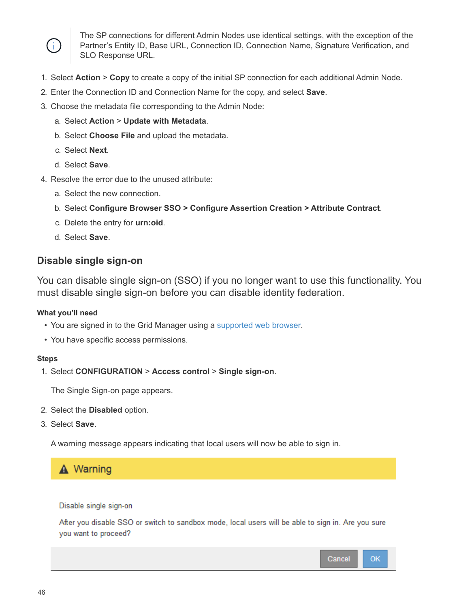

The SP connections for different Admin Nodes use identical settings, with the exception of the Partner's Entity ID, Base URL, Connection ID, Connection Name, Signature Verification, and SLO Response URL.

- 1. Select **Action** > **Copy** to create a copy of the initial SP connection for each additional Admin Node.
- 2. Enter the Connection ID and Connection Name for the copy, and select **Save**.
- 3. Choose the metadata file corresponding to the Admin Node:
	- a. Select **Action** > **Update with Metadata**.
	- b. Select **Choose File** and upload the metadata.
	- c. Select **Next**.
	- d. Select **Save**.
- 4. Resolve the error due to the unused attribute:
	- a. Select the new connection.
	- b. Select **Configure Browser SSO > Configure Assertion Creation > Attribute Contract**.
	- c. Delete the entry for **urn:oid**.
	- d. Select **Save**.

## <span id="page-47-0"></span>**Disable single sign-on**

You can disable single sign-on (SSO) if you no longer want to use this functionality. You must disable single sign-on before you can disable identity federation.

#### **What you'll need**

- You are signed in to the Grid Manager using a [supported web browser.](https://docs.netapp.com/us-en/storagegrid-116/admin/web-browser-requirements.html)
- You have specific access permissions.

#### **Steps**

1. Select **CONFIGURATION** > **Access control** > **Single sign-on**.

The Single Sign-on page appears.

- 2. Select the **Disabled** option.
- 3. Select **Save**.

A warning message appears indicating that local users will now be able to sign in.

## A Warning

Disable single sign-on

After you disable SSO or switch to sandbox mode, local users will be able to sign in. Are you sure you want to proceed?

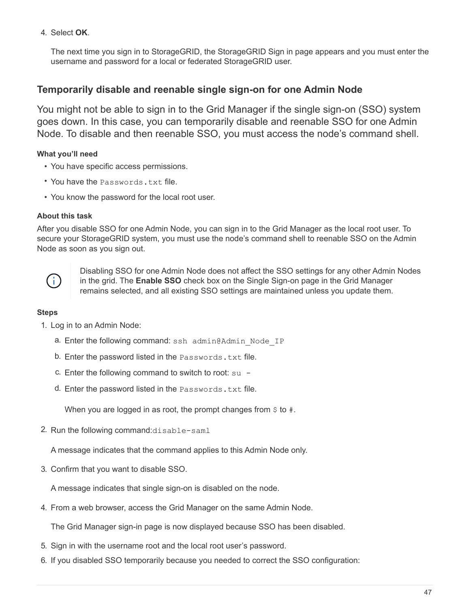4. Select **OK**.

The next time you sign in to StorageGRID, the StorageGRID Sign in page appears and you must enter the username and password for a local or federated StorageGRID user.

## **Temporarily disable and reenable single sign-on for one Admin Node**

You might not be able to sign in to the Grid Manager if the single sign-on (SSO) system goes down. In this case, you can temporarily disable and reenable SSO for one Admin Node. To disable and then reenable SSO, you must access the node's command shell.

#### **What you'll need**

- You have specific access permissions.
- You have the Passwords.txt file.
- You know the password for the local root user.

#### **About this task**

After you disable SSO for one Admin Node, you can sign in to the Grid Manager as the local root user. To secure your StorageGRID system, you must use the node's command shell to reenable SSO on the Admin Node as soon as you sign out.



Disabling SSO for one Admin Node does not affect the SSO settings for any other Admin Nodes in the grid. The **Enable SSO** check box on the Single Sign-on page in the Grid Manager remains selected, and all existing SSO settings are maintained unless you update them.

#### **Steps**

- 1. Log in to an Admin Node:
	- a. Enter the following command: ssh admin@Admin\_Node\_IP
	- b. Enter the password listed in the Passwords.txt file.
	- c. Enter the following command to switch to root:  $su -$
	- d. Enter the password listed in the Passwords.txt file.

When you are logged in as root, the prompt changes from  $\sin$  to #.

2. Run the following command:disable-saml

A message indicates that the command applies to this Admin Node only.

3. Confirm that you want to disable SSO.

A message indicates that single sign-on is disabled on the node.

4. From a web browser, access the Grid Manager on the same Admin Node.

The Grid Manager sign-in page is now displayed because SSO has been disabled.

- 5. Sign in with the username root and the local root user's password.
- 6. If you disabled SSO temporarily because you needed to correct the SSO configuration: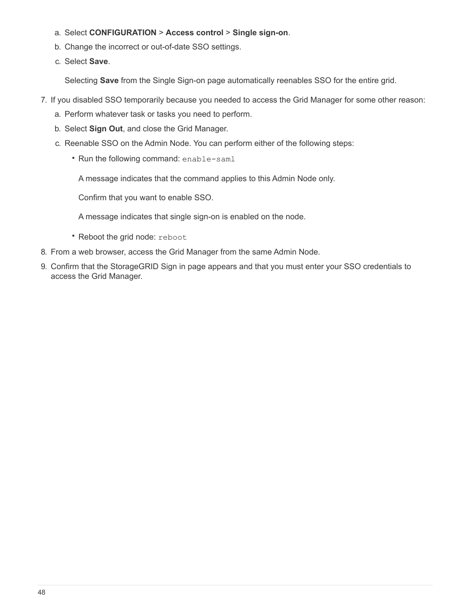- a. Select **CONFIGURATION** > **Access control** > **Single sign-on**.
- b. Change the incorrect or out-of-date SSO settings.
- c. Select **Save**.

Selecting **Save** from the Single Sign-on page automatically reenables SSO for the entire grid.

- 7. If you disabled SSO temporarily because you needed to access the Grid Manager for some other reason:
	- a. Perform whatever task or tasks you need to perform.
	- b. Select **Sign Out**, and close the Grid Manager.
	- c. Reenable SSO on the Admin Node. You can perform either of the following steps:
		- Run the following command: enable-saml

A message indicates that the command applies to this Admin Node only.

Confirm that you want to enable SSO.

A message indicates that single sign-on is enabled on the node.

- Reboot the grid node: reboot
- 8. From a web browser, access the Grid Manager from the same Admin Node.
- 9. Confirm that the StorageGRID Sign in page appears and that you must enter your SSO credentials to access the Grid Manager.